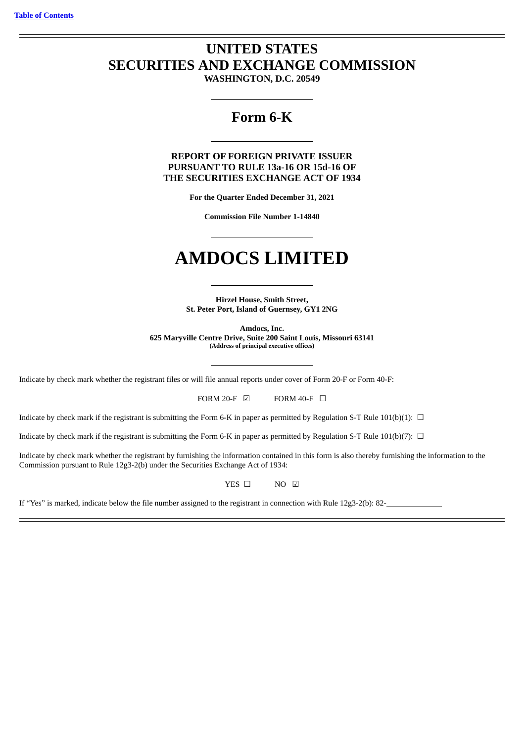# **UNITED STATES SECURITIES AND EXCHANGE COMMISSION**

**WASHINGTON, D.C. 20549**

# **Form 6-K**

**REPORT OF FOREIGN PRIVATE ISSUER PURSUANT TO RULE 13a-16 OR 15d-16 OF THE SECURITIES EXCHANGE ACT OF 1934**

**For the Quarter Ended December 31, 2021**

**Commission File Number 1-14840**

# **AMDOCS LIMITED**

**Hirzel House, Smith Street, St. Peter Port, Island of Guernsey, GY1 2NG**

**Amdocs, Inc. 625 Maryville Centre Drive, Suite 200 Saint Louis, Missouri 63141 (Address of principal executive offices)**

Indicate by check mark whether the registrant files or will file annual reports under cover of Form 20-F or Form 40-F:

FORM 20-F  $\boxdot$  FORM 40-F  $\Box$ 

Indicate by check mark if the registrant is submitting the Form 6-K in paper as permitted by Regulation S-T Rule 101(b)(1):  $\Box$ 

Indicate by check mark if the registrant is submitting the Form 6-K in paper as permitted by Regulation S-T Rule 101(b)(7):  $\Box$ 

Indicate by check mark whether the registrant by furnishing the information contained in this form is also thereby furnishing the information to the Commission pursuant to Rule 12g3-2(b) under the Securities Exchange Act of 1934:

YES □ NO ☑

If "Yes" is marked, indicate below the file number assigned to the registrant in connection with Rule 12g3-2(b): 82-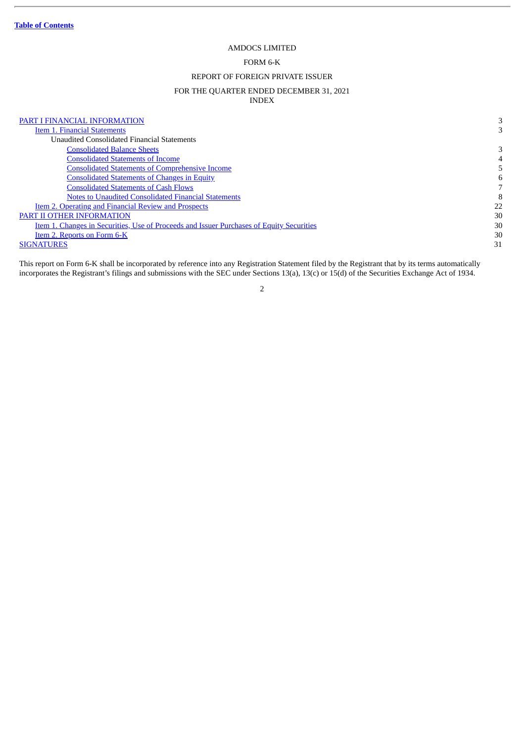**Table of [Contents](#page-1-0)**

# AMDOCS LIMITED

# FORM 6-K

# REPORT OF FOREIGN PRIVATE ISSUER

# FOR THE QUARTER ENDED DECEMBER 31, 2021 INDEX

<span id="page-1-0"></span>

| PART I FINANCIAL INFORMATION                                                             |    |
|------------------------------------------------------------------------------------------|----|
| Item 1. Financial Statements                                                             |    |
| Unaudited Consolidated Financial Statements                                              |    |
| <b>Consolidated Balance Sheets</b>                                                       | 3  |
| <b>Consolidated Statements of Income</b>                                                 | 4  |
| <b>Consolidated Statements of Comprehensive Income</b>                                   |    |
| <b>Consolidated Statements of Changes in Equity</b>                                      | 6  |
| <b>Consolidated Statements of Cash Flows</b>                                             |    |
| <b>Notes to Unaudited Consolidated Financial Statements</b>                              | 8  |
| <u>Item 2. Operating and Financial Review and Prospects</u>                              | 22 |
| PART II OTHER INFORMATION                                                                | 30 |
| Item 1. Changes in Securities, Use of Proceeds and Issuer Purchases of Equity Securities | 30 |
| Item 2. Reports on Form 6-K                                                              | 30 |
| <b>SIGNATURES</b>                                                                        | 31 |

This report on Form 6-K shall be incorporated by reference into any Registration Statement filed by the Registrant that by its terms automatically incorporates the Registrant's filings and submissions with the SEC under Sections 13(a), 13(c) or 15(d) of the Securities Exchange Act of 1934.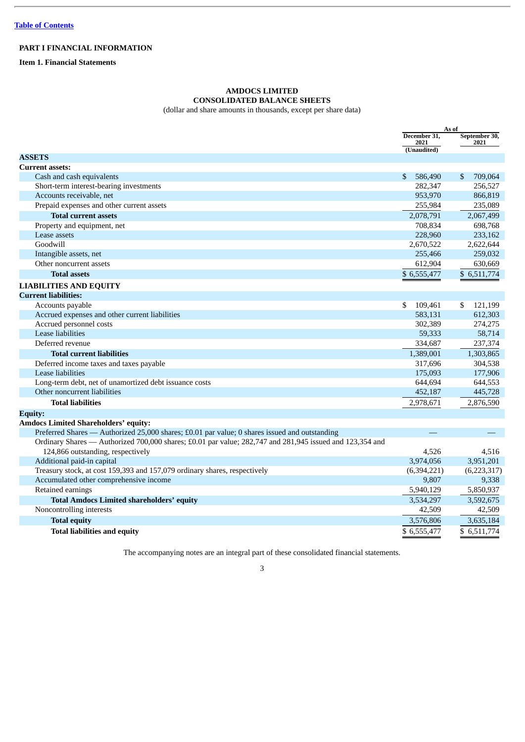# <span id="page-2-0"></span>**PART I FINANCIAL INFORMATION**

<span id="page-2-2"></span><span id="page-2-1"></span>**Item 1. Financial Statements**

# **AMDOCS LIMITED CONSOLIDATED BALANCE SHEETS**

(dollar and share amounts in thousands, except per share data)

|                                                                                                          |                                     | As of                 |  |
|----------------------------------------------------------------------------------------------------------|-------------------------------------|-----------------------|--|
|                                                                                                          | December 31,<br>2021<br>(Unaudited) | September 30,<br>2021 |  |
| <b>ASSETS</b>                                                                                            |                                     |                       |  |
| <b>Current assets:</b>                                                                                   |                                     |                       |  |
| Cash and cash equivalents                                                                                | $\mathbb{S}$<br>586,490             | \$<br>709,064         |  |
| Short-term interest-bearing investments                                                                  | 282,347                             | 256,527               |  |
| Accounts receivable, net                                                                                 | 953,970                             | 866,819               |  |
| Prepaid expenses and other current assets                                                                | 255,984                             | 235,089               |  |
| <b>Total current assets</b>                                                                              | 2,078,791                           | 2,067,499             |  |
| Property and equipment, net                                                                              | 708,834                             | 698,768               |  |
| Lease assets                                                                                             | 228,960                             | 233,162               |  |
| Goodwill                                                                                                 | 2,670,522                           | 2,622,644             |  |
| Intangible assets, net                                                                                   | 255,466                             | 259,032               |  |
| Other noncurrent assets                                                                                  | 612,904                             | 630,669               |  |
| <b>Total assets</b>                                                                                      | \$6,555,477                         | \$6,511,774           |  |
| <b>LIABILITIES AND EQUITY</b>                                                                            |                                     |                       |  |
| <b>Current liabilities:</b>                                                                              |                                     |                       |  |
| Accounts payable                                                                                         | \$<br>109,461                       | 121,199<br>\$         |  |
| Accrued expenses and other current liabilities                                                           | 583,131                             | 612,303               |  |
| Accrued personnel costs                                                                                  | 302,389                             | 274,275               |  |
| Lease liabilities                                                                                        | 59,333                              | 58,714                |  |
| Deferred revenue                                                                                         | 334,687                             | 237,374               |  |
| <b>Total current liabilities</b>                                                                         | 1,389,001                           | 1,303,865             |  |
| Deferred income taxes and taxes payable                                                                  | 317,696                             | 304,538               |  |
| Lease liabilities                                                                                        | 175,093                             | 177,906               |  |
| Long-term debt, net of unamortized debt issuance costs                                                   | 644,694                             | 644,553               |  |
| Other noncurrent liabilities                                                                             | 452,187                             | 445,728               |  |
| <b>Total liabilities</b>                                                                                 | 2,978,671                           | 2,876,590             |  |
| <b>Equity:</b>                                                                                           |                                     |                       |  |
| <b>Amdocs Limited Shareholders' equity:</b>                                                              |                                     |                       |  |
| Preferred Shares — Authorized 25,000 shares; £0.01 par value; 0 shares issued and outstanding            |                                     |                       |  |
| Ordinary Shares — Authorized 700,000 shares; £0.01 par value; 282,747 and 281,945 issued and 123,354 and |                                     |                       |  |
| 124,866 outstanding, respectively                                                                        | 4,526                               | 4,516                 |  |
| Additional paid-in capital                                                                               | 3,974,056                           | 3,951,201             |  |
| Treasury stock, at cost 159,393 and 157,079 ordinary shares, respectively                                | (6, 394, 221)                       | (6, 223, 317)         |  |
| Accumulated other comprehensive income                                                                   | 9,807                               | 9,338                 |  |
| Retained earnings                                                                                        | 5,940,129                           | 5,850,937             |  |
| <b>Total Amdocs Limited shareholders' equity</b>                                                         | 3,534,297                           | 3,592,675             |  |
| Noncontrolling interests                                                                                 | 42,509                              | 42,509                |  |
| <b>Total equity</b>                                                                                      | 3,576,806                           | 3,635,184             |  |
| <b>Total liabilities and equity</b>                                                                      | \$6,555,477                         | \$6.511.774           |  |

The accompanying notes are an integral part of these consolidated financial statements.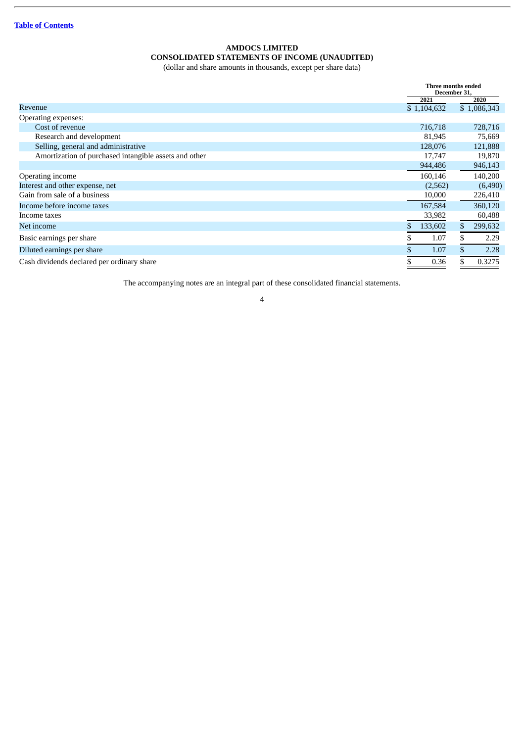# **CONSOLIDATED STATEMENTS OF INCOME (UNAUDITED)**

(dollar and share amounts in thousands, except per share data)

<span id="page-3-0"></span>

|                                                       | Three months ended<br>December 31, |               |  |  |
|-------------------------------------------------------|------------------------------------|---------------|--|--|
|                                                       | 2021                               | 2020          |  |  |
| Revenue                                               | \$1,104,632                        | \$1,086,343   |  |  |
| Operating expenses:                                   |                                    |               |  |  |
| Cost of revenue                                       | 716,718                            | 728,716       |  |  |
| Research and development                              | 81,945                             | 75,669        |  |  |
| Selling, general and administrative                   | 128,076                            | 121,888       |  |  |
| Amortization of purchased intangible assets and other | 17,747                             | 19,870        |  |  |
|                                                       | 944,486                            | 946,143       |  |  |
| Operating income                                      | 160.146                            | 140,200       |  |  |
| Interest and other expense, net                       | (2,562)                            | (6,490)       |  |  |
| Gain from sale of a business                          | 10,000                             | 226,410       |  |  |
| Income before income taxes                            | 167,584                            | 360,120       |  |  |
| Income taxes                                          | 33,982                             | 60,488        |  |  |
| Net income                                            | 133,602                            | \$<br>299,632 |  |  |
| Basic earnings per share                              | 1.07                               | 2.29          |  |  |
| Diluted earnings per share                            | 1.07                               | 2.28<br>\$    |  |  |
| Cash dividends declared per ordinary share            | 0.36                               | 0.3275        |  |  |

The accompanying notes are an integral part of these consolidated financial statements.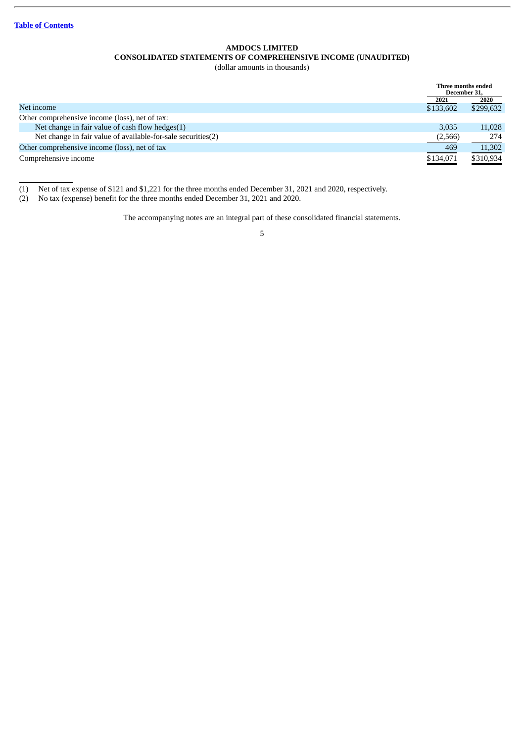# **AMDOCS LIMITED CONSOLIDATED STATEMENTS OF COMPREHENSIVE INCOME (UNAUDITED)**

(dollar amounts in thousands)

<span id="page-4-0"></span>

|                                                              |           | Three months ended<br>December 31, |
|--------------------------------------------------------------|-----------|------------------------------------|
|                                                              | 2021      | 2020                               |
| Net income                                                   | \$133,602 | \$299,632                          |
| Other comprehensive income (loss), net of tax:               |           |                                    |
| Net change in fair value of cash flow hedges(1)              | 3,035     | 11,028                             |
| Net change in fair value of available-for-sale securities(2) | (2,566)   | 274                                |
| Other comprehensive income (loss), net of tax                | 469       | 11,302                             |
| Comprehensive income                                         | \$134,071 | \$310,934                          |
|                                                              |           | _______                            |

(1) Net of tax expense of \$121 and \$1,221 for the three months ended December 31, 2021 and 2020, respectively.

(2) No tax (expense) benefit for the three months ended December 31, 2021 and 2020.

The accompanying notes are an integral part of these consolidated financial statements.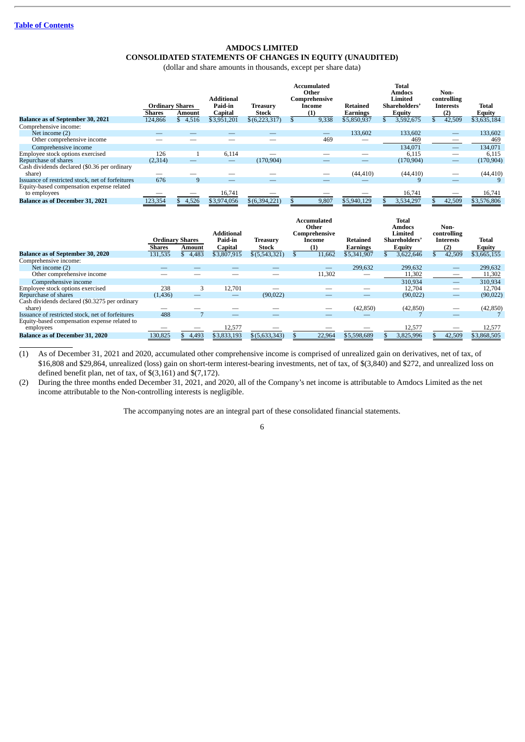# **CONSOLIDATED STATEMENTS OF CHANGES IN EQUITY (UNAUDITED)**

(dollar and share amounts in thousands, except per share data)

<span id="page-5-0"></span>

|                                                           | <b>Ordinary Shares</b> |         | <b>Additional</b><br>Paid-in | <b>Treasury</b> | <b>Accumulated</b><br>Other<br>Comprehensive<br>Income | Retained    | <b>Total</b><br>Amdocs<br>Limited<br>Shareholders' | Non-<br>controlling<br><b>Interests</b> | Total       |
|-----------------------------------------------------------|------------------------|---------|------------------------------|-----------------|--------------------------------------------------------|-------------|----------------------------------------------------|-----------------------------------------|-------------|
|                                                           | Shares                 | Amount  | Capital                      | <b>Stock</b>    | (1)                                                    | Earnings    | <b>Equity</b>                                      | (2)                                     | Equity      |
| <b>Balance as of September 30, 2021</b>                   | 124.866                | \$4.516 | \$3,951,201                  | \$(6,223,317)   | 9,338                                                  | \$5,850,937 | 3.592.675                                          | 42,509                                  | \$3,635,184 |
| Comprehensive income:                                     |                        |         |                              |                 |                                                        |             |                                                    |                                         |             |
| Net income (2)                                            |                        |         |                              |                 | –                                                      | 133,602     | 133,602                                            |                                         | 133,602     |
| Other comprehensive income                                |                        |         |                              |                 | 469                                                    |             | 469                                                |                                         | 469         |
| Comprehensive income                                      |                        |         |                              |                 |                                                        |             | 134,071                                            |                                         | 134,071     |
| Employee stock options exercised                          | 126                    |         | 6,114                        |                 |                                                        | __          | 6,115                                              |                                         | 6,115       |
| Repurchase of shares                                      | (2,314)                |         |                              | (170, 904)      |                                                        |             | (170, 904)                                         | $\qquad \qquad -$                       | (170, 904)  |
| Cash dividends declared (\$0.36 per ordinary<br>share)    |                        |         |                              |                 |                                                        | (44, 410)   | (44, 410)                                          |                                         | (44, 410)   |
| Issuance of restricted stock, net of forfeitures          | 676                    | q       |                              |                 |                                                        |             |                                                    | –                                       |             |
| Equity-based compensation expense related<br>to employees |                        |         | 16,741                       |                 |                                                        |             | 16,741                                             |                                         | 16,741      |
| <b>Balance as of December 31, 2021</b>                    | 123,354                | 4,526   | \$3,974,056                  | \$(6,394,221)   | 9,807                                                  | \$5,940,129 | 3,534,297                                          | 42,509                                  | \$3,576,806 |

|                                                           | <b>Ordinary Shares</b><br><b>Shares</b> | Amount      | <b>Additional</b><br>Paid-in<br>Capital | <b>Treasury</b><br><b>Stock</b> | Accumulated<br>Other<br>Comprehensive<br>Income<br>(1) | Retained<br>Earnings | Total<br>Amdocs<br>Limited<br>Shareholders'<br>Equity | Non-<br>controlling<br><b>Interests</b><br>(2) | <b>Total</b><br>Equity |
|-----------------------------------------------------------|-----------------------------------------|-------------|-----------------------------------------|---------------------------------|--------------------------------------------------------|----------------------|-------------------------------------------------------|------------------------------------------------|------------------------|
| <b>Balance as of September 30, 2020</b>                   | 131,535                                 | 4,483<br>\$ | \$3,807,915                             | $$$ $(5,543,321)$               | 11.662                                                 | \$5,341,907          | 3,622,646                                             | 42,509                                         | \$3,665,155            |
| Comprehensive income:                                     |                                         |             |                                         |                                 |                                                        |                      |                                                       |                                                |                        |
| Net income (2)                                            |                                         |             |                                         |                                 | $-$                                                    | 299,632              | 299,632                                               |                                                | 299,632                |
| Other comprehensive income                                |                                         |             |                                         |                                 | 11,302                                                 |                      | 11,302                                                |                                                | 11,302                 |
| Comprehensive income                                      |                                         |             |                                         |                                 |                                                        |                      | 310,934                                               |                                                | 310,934                |
| Employee stock options exercised                          | 238                                     | 3           | 12,701                                  |                                 |                                                        |                      | 12.704                                                |                                                | 12,704                 |
| Repurchase of shares                                      | (1, 436)                                |             | $\hspace{0.05cm}$                       | (90,022)                        |                                                        | __                   | (90, 022)                                             | $\hspace{0.1mm}-\hspace{0.1mm}$                | (90, 022)              |
| Cash dividends declared (\$0.3275 per ordinary            |                                         |             |                                         |                                 |                                                        |                      |                                                       |                                                |                        |
| share)                                                    |                                         |             |                                         |                                 |                                                        | (42, 850)            | (42, 850)                                             |                                                | (42, 850)              |
| Issuance of restricted stock, net of forfeitures          | 488                                     |             |                                         |                                 |                                                        |                      |                                                       |                                                |                        |
| Equity-based compensation expense related to<br>employees |                                         |             | 12,577                                  |                                 |                                                        |                      | 12,577                                                |                                                | 12,577                 |
| <b>Balance as of December 31, 2020</b>                    | 130,825                                 | 4,493       | \$3,833,193                             | $$$ $(5,633,343)$               | 22,964                                                 | \$5,598,689          | 3,825,996                                             | 42,509                                         | \$3,868,505            |

(1) As of December 31, 2021 and 2020, accumulated other comprehensive income is comprised of unrealized gain on derivatives, net of tax, of \$16,808 and \$29,864, unrealized (loss) gain on short-term interest-bearing investments, net of tax, of \$(3,840) and \$272, and unrealized loss on defined benefit plan, net of tax, of \$(3,161) and \$(7,172).

(2) During the three months ended December 31, 2021, and 2020, all of the Company's net income is attributable to Amdocs Limited as the net income attributable to the Non-controlling interests is negligible.

The accompanying notes are an integral part of these consolidated financial statements.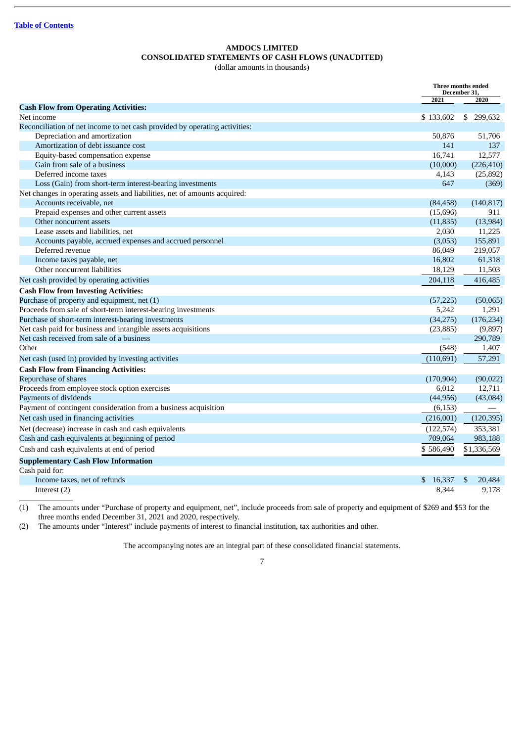# **AMDOCS LIMITED CONSOLIDATED STATEMENTS OF CASH FLOWS (UNAUDITED)**

(dollar amounts in thousands)

<span id="page-6-0"></span>

|                                                                            | December 31. | Three months ended |
|----------------------------------------------------------------------------|--------------|--------------------|
|                                                                            | 2021         | 2020               |
| <b>Cash Flow from Operating Activities:</b>                                |              |                    |
| Net income                                                                 | \$133,602    | 299,632<br>\$      |
| Reconciliation of net income to net cash provided by operating activities: |              |                    |
| Depreciation and amortization                                              | 50,876       | 51,706             |
| Amortization of debt issuance cost                                         | 141          | 137                |
| Equity-based compensation expense                                          | 16,741       | 12,577             |
| Gain from sale of a business                                               | (10,000)     | (226, 410)         |
| Deferred income taxes                                                      | 4,143        | (25, 892)          |
| Loss (Gain) from short-term interest-bearing investments                   | 647          | (369)              |
| Net changes in operating assets and liabilities, net of amounts acquired:  |              |                    |
| Accounts receivable, net                                                   | (84, 458)    | (140, 817)         |
| Prepaid expenses and other current assets                                  | (15,696)     | 911                |
| Other noncurrent assets                                                    | (11, 835)    | (13,984)           |
| Lease assets and liabilities, net                                          | 2,030        | 11,225             |
| Accounts payable, accrued expenses and accrued personnel                   | (3,053)      | 155,891            |
| Deferred revenue                                                           | 86,049       | 219,057            |
| Income taxes payable, net                                                  | 16,802       | 61,318             |
| Other noncurrent liabilities                                               | 18,129       | 11,503             |
| Net cash provided by operating activities                                  | 204,118      | 416,485            |
| <b>Cash Flow from Investing Activities:</b>                                |              |                    |
| Purchase of property and equipment, net (1)                                | (57, 225)    | (50,065)           |
| Proceeds from sale of short-term interest-bearing investments              | 5,242        | 1,291              |
| Purchase of short-term interest-bearing investments                        | (34,275)     | (176, 234)         |
| Net cash paid for business and intangible assets acquisitions              | (23, 885)    | (9,897)            |
| Net cash received from sale of a business                                  |              | 290,789            |
| Other                                                                      | (548)        | 1,407              |
| Net cash (used in) provided by investing activities                        | (110, 691)   | 57,291             |
| <b>Cash Flow from Financing Activities:</b>                                |              |                    |
| Repurchase of shares                                                       | (170, 904)   | (90, 022)          |
| Proceeds from employee stock option exercises                              | 6,012        | 12,711             |
| Payments of dividends                                                      | (44, 956)    | (43,084)           |
| Payment of contingent consideration from a business acquisition            | (6, 153)     |                    |
| Net cash used in financing activities                                      | (216,001)    | (120, 395)         |
| Net (decrease) increase in cash and cash equivalents                       | (122, 574)   | 353,381            |
| Cash and cash equivalents at beginning of period                           | 709,064      | 983,188            |
| Cash and cash equivalents at end of period                                 | \$586,490    | \$1,336,569        |
| <b>Supplementary Cash Flow Information</b>                                 |              |                    |
| Cash paid for:                                                             |              |                    |
| Income taxes, net of refunds                                               | \$16,337     | \$<br>20,484       |
| Interest $(2)$                                                             | 8,344        | 9,178              |

(1) The amounts under "Purchase of property and equipment, net", include proceeds from sale of property and equipment of \$269 and \$53 for the three months ended December 31, 2021 and 2020, respectively.

(2) The amounts under "Interest" include payments of interest to financial institution, tax authorities and other.

The accompanying notes are an integral part of these consolidated financial statements.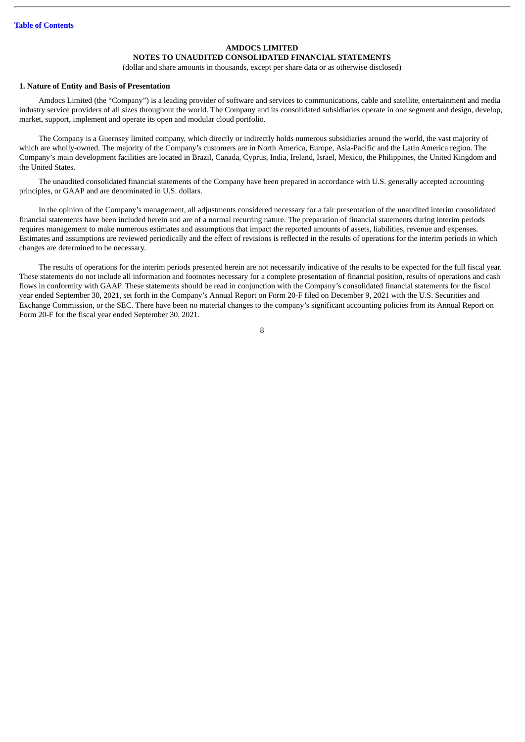# **NOTES TO UNAUDITED CONSOLIDATED FINANCIAL STATEMENTS**

(dollar and share amounts in thousands, except per share data or as otherwise disclosed)

#### <span id="page-7-0"></span>**1. Nature of Entity and Basis of Presentation**

Amdocs Limited (the "Company") is a leading provider of software and services to communications, cable and satellite, entertainment and media industry service providers of all sizes throughout the world. The Company and its consolidated subsidiaries operate in one segment and design, develop, market, support, implement and operate its open and modular cloud portfolio.

The Company is a Guernsey limited company, which directly or indirectly holds numerous subsidiaries around the world, the vast majority of which are wholly-owned. The majority of the Company's customers are in North America, Europe, Asia-Pacific and the Latin America region. The Company's main development facilities are located in Brazil, Canada, Cyprus, India, Ireland, Israel, Mexico, the Philippines, the United Kingdom and the United States.

The unaudited consolidated financial statements of the Company have been prepared in accordance with U.S. generally accepted accounting principles, or GAAP and are denominated in U.S. dollars.

In the opinion of the Company's management, all adjustments considered necessary for a fair presentation of the unaudited interim consolidated financial statements have been included herein and are of a normal recurring nature. The preparation of financial statements during interim periods requires management to make numerous estimates and assumptions that impact the reported amounts of assets, liabilities, revenue and expenses. Estimates and assumptions are reviewed periodically and the effect of revisions is reflected in the results of operations for the interim periods in which changes are determined to be necessary.

The results of operations for the interim periods presented herein are not necessarily indicative of the results to be expected for the full fiscal year. These statements do not include all information and footnotes necessary for a complete presentation of financial position, results of operations and cash flows in conformity with GAAP. These statements should be read in conjunction with the Company's consolidated financial statements for the fiscal year ended September 30, 2021, set forth in the Company's Annual Report on Form 20-F filed on December 9, 2021 with the U.S. Securities and Exchange Commission, or the SEC. There have been no material changes to the company's significant accounting policies from its Annual Report on Form 20-F for the fiscal year ended September 30, 2021.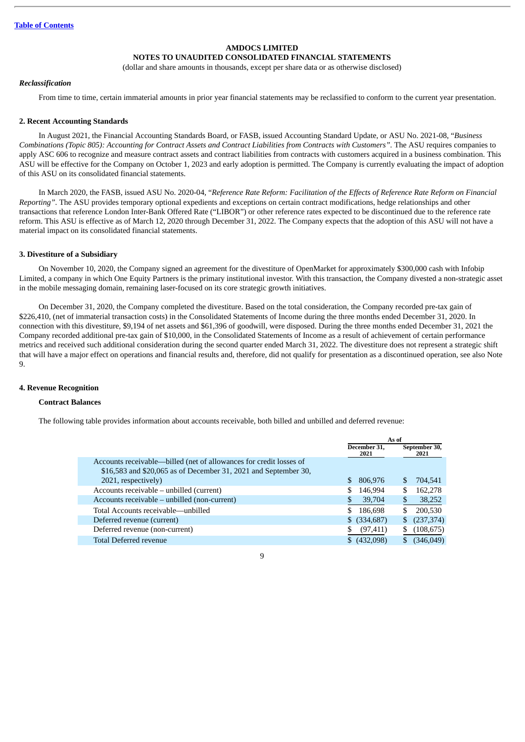# **NOTES TO UNAUDITED CONSOLIDATED FINANCIAL STATEMENTS**

(dollar and share amounts in thousands, except per share data or as otherwise disclosed)

#### *Reclassification*

From time to time, certain immaterial amounts in prior year financial statements may be reclassified to conform to the current year presentation.

#### **2. Recent Accounting Standards**

In August 2021, the Financial Accounting Standards Board, or FASB, issued Accounting Standard Update, or ASU No. 2021-08, "*Business* Combinations (Topic 805): Accounting for Contract Assets and Contract Liabilities from Contracts with Customers". The ASU requires companies to apply ASC 606 to recognize and measure contract assets and contract liabilities from contracts with customers acquired in a business combination. This ASU will be effective for the Company on October 1, 2023 and early adoption is permitted. The Company is currently evaluating the impact of adoption of this ASU on its consolidated financial statements.

In March 2020, the FASB, issued ASU No. 2020-04, "Reference Rate Reform: Facilitation of the Effects of Reference Rate Reform on Financial *Reporting".* The ASU provides temporary optional expedients and exceptions on certain contract modifications, hedge relationships and other transactions that reference London Inter-Bank Offered Rate ("LIBOR") or other reference rates expected to be discontinued due to the reference rate reform. This ASU is effective as of March 12, 2020 through December 31, 2022. The Company expects that the adoption of this ASU will not have a material impact on its consolidated financial statements.

#### **3. Divestiture of a Subsidiary**

On November 10, 2020, the Company signed an agreement for the divestiture of OpenMarket for approximately \$300,000 cash with Infobip Limited, a company in which One Equity Partners is the primary institutional investor. With this transaction, the Company divested a non-strategic asset in the mobile messaging domain, remaining laser-focused on its core strategic growth initiatives.

On December 31, 2020, the Company completed the divestiture. Based on the total consideration, the Company recorded pre-tax gain of \$226,410, (net of immaterial transaction costs) in the Consolidated Statements of Income during the three months ended December 31, 2020. In connection with this divestiture, \$9,194 of net assets and \$61,396 of goodwill, were disposed. During the three months ended December 31, 2021 the Company recorded additional pre-tax gain of \$10,000, in the Consolidated Statements of Income as a result of achievement of certain performance metrics and received such additional consideration during the second quarter ended March 31, 2022. The divestiture does not represent a strategic shift that will have a major effect on operations and financial results and, therefore, did not qualify for presentation as a discontinued operation, see also Note 9.

#### **4. Revenue Recognition**

#### **Contract Balances**

The following table provides information about accounts receivable, both billed and unbilled and deferred revenue:

|                                                                    | As of                |                       |  |
|--------------------------------------------------------------------|----------------------|-----------------------|--|
|                                                                    | December 31.<br>2021 | September 30,<br>2021 |  |
| Accounts receivable—billed (net of allowances for credit losses of |                      |                       |  |
| \$16,583 and \$20,065 as of December 31, 2021 and September 30,    |                      |                       |  |
| 2021, respectively)                                                | 806,976<br>\$.       | S<br>704,541          |  |
| Accounts receivable – unbilled (current)                           | 146,994              | 162,278<br>\$         |  |
| Accounts receivable – unbilled (non-current)                       | \$<br>39,704         | \$<br>38,252          |  |
| Total Accounts receivable—unbilled                                 | 186,698              | 200,530<br>\$         |  |
| Deferred revenue (current)                                         | $$$ (334,687)        | (237, 374)<br>\$      |  |
| Deferred revenue (non-current)                                     | (97, 411)            | (108, 675)<br>\$      |  |
| <b>Total Deferred revenue</b>                                      | (432,098)            | (346, 049)<br>S       |  |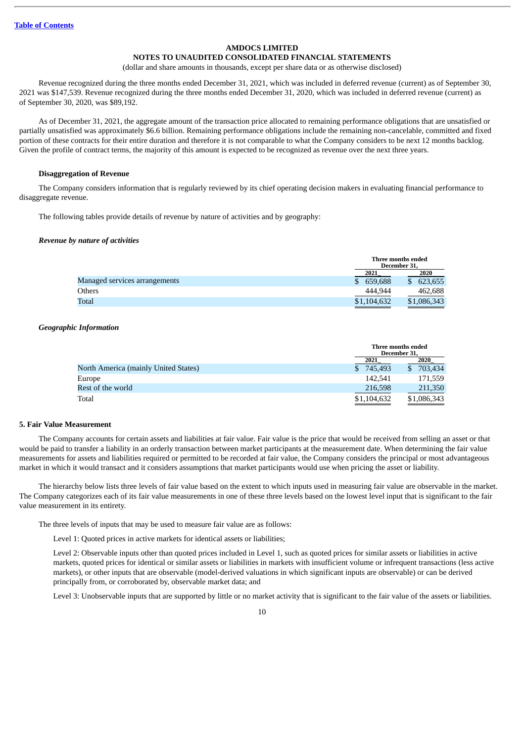# **NOTES TO UNAUDITED CONSOLIDATED FINANCIAL STATEMENTS**

(dollar and share amounts in thousands, except per share data or as otherwise disclosed)

Revenue recognized during the three months ended December 31, 2021, which was included in deferred revenue (current) as of September 30, 2021 was \$147,539. Revenue recognized during the three months ended December 31, 2020, which was included in deferred revenue (current) as of September 30, 2020, was \$89,192.

As of December 31, 2021, the aggregate amount of the transaction price allocated to remaining performance obligations that are unsatisfied or partially unsatisfied was approximately \$6.6 billion. Remaining performance obligations include the remaining non-cancelable, committed and fixed portion of these contracts for their entire duration and therefore it is not comparable to what the Company considers to be next 12 months backlog. Given the profile of contract terms, the majority of this amount is expected to be recognized as revenue over the next three years.

## **Disaggregation of Revenue**

The Company considers information that is regularly reviewed by its chief operating decision makers in evaluating financial performance to disaggregate revenue.

The following tables provide details of revenue by nature of activities and by geography:

# *Revenue by nature of activities*

|                               |             | Three months ended<br>December 31, |
|-------------------------------|-------------|------------------------------------|
|                               | 2021        | 2020                               |
| Managed services arrangements | 659,688     | 623,655                            |
| Others                        | 444.944     | 462.688                            |
| Total                         | \$1,104,632 | \$1,086,343                        |

#### *Geographic Information*

|                                      | Three months ended<br>December 31, |             |
|--------------------------------------|------------------------------------|-------------|
|                                      | 2021                               | 2020        |
| North America (mainly United States) | 745.493                            | 703.434     |
| Europe                               | 142,541                            | 171,559     |
| Rest of the world                    | 216,598                            | 211,350     |
| Total                                | \$1,104,632                        | \$1,086,343 |

#### **5. Fair Value Measurement**

The Company accounts for certain assets and liabilities at fair value. Fair value is the price that would be received from selling an asset or that would be paid to transfer a liability in an orderly transaction between market participants at the measurement date. When determining the fair value measurements for assets and liabilities required or permitted to be recorded at fair value, the Company considers the principal or most advantageous market in which it would transact and it considers assumptions that market participants would use when pricing the asset or liability.

The hierarchy below lists three levels of fair value based on the extent to which inputs used in measuring fair value are observable in the market. The Company categorizes each of its fair value measurements in one of these three levels based on the lowest level input that is significant to the fair value measurement in its entirety.

The three levels of inputs that may be used to measure fair value are as follows:

Level 1: Quoted prices in active markets for identical assets or liabilities;

Level 2: Observable inputs other than quoted prices included in Level 1, such as quoted prices for similar assets or liabilities in active markets, quoted prices for identical or similar assets or liabilities in markets with insufficient volume or infrequent transactions (less active markets), or other inputs that are observable (model-derived valuations in which significant inputs are observable) or can be derived principally from, or corroborated by, observable market data; and

Level 3: Unobservable inputs that are supported by little or no market activity that is significant to the fair value of the assets or liabilities.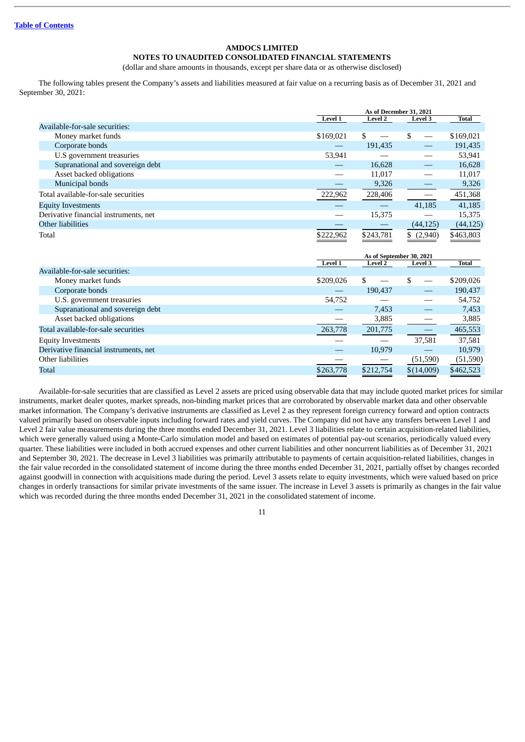# **NOTES TO UNAUDITED CONSOLIDATED FINANCIAL STATEMENTS**

(dollar and share amounts in thousands, except per share data or as otherwise disclosed)

The following tables present the Company's assets and liabilities measured at fair value on a recurring basis as of December 31, 2021 and September 30, 2021:

|                                       | As of December 31, 2021 |                |                                     |           |  |  |
|---------------------------------------|-------------------------|----------------|-------------------------------------|-----------|--|--|
|                                       | <b>Level 1</b>          | <b>Level 2</b> | <b>Level 3</b>                      | Total     |  |  |
| Available-for-sale securities:        |                         |                |                                     |           |  |  |
| Money market funds                    | \$169,021               | \$.            | \$<br>$\overbrace{\phantom{12333}}$ | \$169,021 |  |  |
| Corporate bonds                       |                         | 191,435        |                                     | 191,435   |  |  |
| U.S government treasuries             | 53,941                  |                |                                     | 53,941    |  |  |
| Supranational and sovereign debt      |                         | 16,628         |                                     | 16,628    |  |  |
| Asset backed obligations              |                         | 11,017         |                                     | 11,017    |  |  |
| Municipal bonds                       |                         | 9,326          |                                     | 9,326     |  |  |
| Total available-for-sale securities   | 222,962                 | 228,406        |                                     | 451,368   |  |  |
| <b>Equity Investments</b>             |                         |                | 41,185                              | 41,185    |  |  |
| Derivative financial instruments, net |                         | 15,375         |                                     | 15,375    |  |  |
| Other liabilities                     |                         |                | (44, 125)                           | (44, 125) |  |  |
| Total                                 | \$222,962               | \$243,781      | (2,940)                             | \$463,803 |  |  |
|                                       | As of Sentember 30 2021 |                |                                     |           |  |  |

|                                       | <b>Level 1</b> | <b>Level 2</b> | <b>Level 3</b> | Total     |
|---------------------------------------|----------------|----------------|----------------|-----------|
| Available-for-sale securities:        |                |                |                |           |
| Money market funds                    | \$209,026      | \$             |                | \$209,026 |
| Corporate bonds                       |                | 190,437        |                | 190,437   |
| U.S. government treasuries            | 54,752         |                |                | 54,752    |
| Supranational and sovereign debt      |                | 7,453          |                | 7,453     |
| Asset backed obligations              |                | 3,885          |                | 3,885     |
| Total available-for-sale securities   | 263,778        | 201,775        |                | 465,553   |
| <b>Equity Investments</b>             |                |                | 37,581         | 37,581    |
| Derivative financial instruments, net |                | 10,979         |                | 10.979    |
| Other liabilities                     |                |                | (51, 590)      | (51, 590) |
| Total                                 | \$263,778      | \$212,754      | \$(14,009)     | \$462,523 |
|                                       |                |                |                |           |

Available-for-sale securities that are classified as Level 2 assets are priced using observable data that may include quoted market prices for similar instruments, market dealer quotes, market spreads, non-binding market prices that are corroborated by observable market data and other observable market information. The Company's derivative instruments are classified as Level 2 as they represent foreign currency forward and option contracts valued primarily based on observable inputs including forward rates and yield curves. The Company did not have any transfers between Level 1 and Level 2 fair value measurements during the three months ended December 31, 2021. Level 3 liabilities relate to certain acquisition-related liabilities, which were generally valued using a Monte-Carlo simulation model and based on estimates of potential pay-out scenarios, periodically valued every quarter. These liabilities were included in both accrued expenses and other current liabilities and other noncurrent liabilities as of December 31, 2021 and September 30, 2021. The decrease in Level 3 liabilities was primarily attributable to payments of certain acquisition-related liabilities, changes in the fair value recorded in the consolidated statement of income during the three months ended December 31, 2021, partially offset by changes recorded against goodwill in connection with acquisitions made during the period. Level 3 assets relate to equity investments, which were valued based on price changes in orderly transactions for similar private investments of the same issuer. The increase in Level 3 assets is primarily as changes in the fair value which was recorded during the three months ended December 31, 2021 in the consolidated statement of income.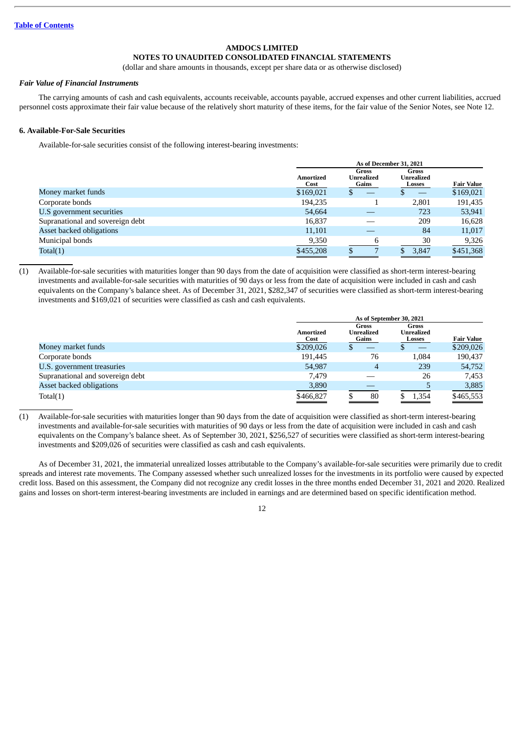# **NOTES TO UNAUDITED CONSOLIDATED FINANCIAL STATEMENTS**

(dollar and share amounts in thousands, except per share data or as otherwise disclosed)

#### *Fair Value of Financial Instruments*

The carrying amounts of cash and cash equivalents, accounts receivable, accounts payable, accrued expenses and other current liabilities, accrued personnel costs approximate their fair value because of the relatively short maturity of these items, for the fair value of the Senior Notes, see Note 12.

#### **6. Available-For-Sale Securities**

Available-for-sale securities consist of the following interest-bearing investments:

|                                  | As of December 31, 2021 |                                     |                                      |                   |
|----------------------------------|-------------------------|-------------------------------------|--------------------------------------|-------------------|
|                                  | Amortized<br>Cost       | Gross<br><b>Unrealized</b><br>Gains | Gross<br><b>Unrealized</b><br>Losses | <b>Fair Value</b> |
| Money market funds               | \$169,021               |                                     |                                      | \$169,021         |
| Corporate bonds                  | 194,235                 |                                     | 2,801                                | 191,435           |
| U.S government securities        | 54,664                  |                                     | 723                                  | 53,941            |
| Supranational and sovereign debt | 16,837                  |                                     | 209                                  | 16,628            |
| Asset backed obligations         | 11,101                  |                                     | 84                                   | 11,017            |
| Municipal bonds                  | 9,350                   |                                     | 30                                   | 9,326             |
| Total(1)                         | \$455,208               |                                     | 3,847                                | \$451,368         |

(1) Available-for-sale securities with maturities longer than 90 days from the date of acquisition were classified as short-term interest-bearing investments and available-for-sale securities with maturities of 90 days or less from the date of acquisition were included in cash and cash equivalents on the Company's balance sheet. As of December 31, 2021, \$282,347 of securities were classified as short-term interest-bearing investments and \$169,021 of securities were classified as cash and cash equivalents.

|                                  |                          | As of September 30, 2021     |                                             |                   |  |
|----------------------------------|--------------------------|------------------------------|---------------------------------------------|-------------------|--|
|                                  | <b>Amortized</b><br>Cost | Gross<br>Unrealized<br>Gains | <b>Gross</b><br><b>Unrealized</b><br>Losses | <b>Fair Value</b> |  |
| Money market funds               | \$209,026                | Φ                            |                                             | \$209,026         |  |
| Corporate bonds                  | 191,445                  | 76                           | 1.084                                       | 190,437           |  |
| U.S. government treasuries       | 54,987                   | 4                            | 239                                         | 54,752            |  |
| Supranational and sovereign debt | 7.479                    |                              | 26                                          | 7,453             |  |
| Asset backed obligations         | 3,890                    |                              |                                             | 3,885             |  |
| Total(1)                         | \$466,827                | 80                           | 1,354                                       | \$465,553         |  |

(1) Available-for-sale securities with maturities longer than 90 days from the date of acquisition were classified as short-term interest-bearing investments and available-for-sale securities with maturities of 90 days or less from the date of acquisition were included in cash and cash equivalents on the Company's balance sheet. As of September 30, 2021, \$256,527 of securities were classified as short-term interest-bearing investments and \$209,026 of securities were classified as cash and cash equivalents.

As of December 31, 2021, the immaterial unrealized losses attributable to the Company's available-for-sale securities were primarily due to credit spreads and interest rate movements. The Company assessed whether such unrealized losses for the investments in its portfolio were caused by expected credit loss. Based on this assessment, the Company did not recognize any credit losses in the three months ended December 31, 2021 and 2020. Realized gains and losses on short-term interest-bearing investments are included in earnings and are determined based on specific identification method.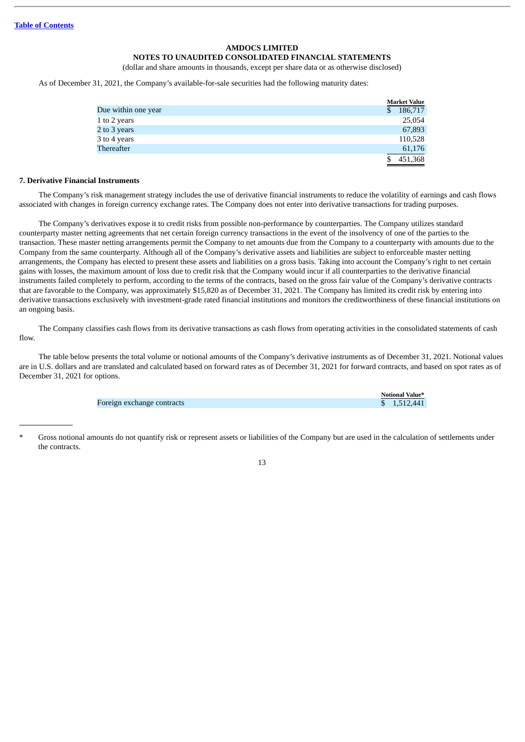# **NOTES TO UNAUDITED CONSOLIDATED FINANCIAL STATEMENTS**

(dollar and share amounts in thousands, except per share data or as otherwise disclosed)

As of December 31, 2021, the Company's available-for-sale securities had the following maturity dates:

|                     |   | <b>Market Value</b> |
|---------------------|---|---------------------|
| Due within one year | S | 186,717             |
| 1 to 2 years        |   | 25,054              |
| 2 to 3 years        |   | 67,893              |
| 3 to 4 years        |   | 110,528             |
| Thereafter          |   | 61,176              |
|                     |   | 451,368             |

#### **7. Derivative Financial Instruments**

The Company's risk management strategy includes the use of derivative financial instruments to reduce the volatility of earnings and cash flows associated with changes in foreign currency exchange rates. The Company does not enter into derivative transactions for trading purposes.

The Company's derivatives expose it to credit risks from possible non-performance by counterparties. The Company utilizes standard counterparty master netting agreements that net certain foreign currency transactions in the event of the insolvency of one of the parties to the transaction. These master netting arrangements permit the Company to net amounts due from the Company to a counterparty with amounts due to the Company from the same counterparty. Although all of the Company's derivative assets and liabilities are subject to enforceable master netting arrangements, the Company has elected to present these assets and liabilities on a gross basis. Taking into account the Company's right to net certain gains with losses, the maximum amount of loss due to credit risk that the Company would incur if all counterparties to the derivative financial instruments failed completely to perform, according to the terms of the contracts, based on the gross fair value of the Company's derivative contracts that are favorable to the Company, was approximately \$15,820 as of December 31, 2021. The Company has limited its credit risk by entering into derivative transactions exclusively with investment-grade rated financial institutions and monitors the creditworthiness of these financial institutions on an ongoing basis.

The Company classifies cash flows from its derivative transactions as cash flows from operating activities in the consolidated statements of cash flow.

The table below presents the total volume or notional amounts of the Company's derivative instruments as of December 31, 2021. Notional values are in U.S. dollars and are translated and calculated based on forward rates as of December 31, 2021 for forward contracts, and based on spot rates as of December 31, 2021 for options.

**Notional Value\***

Foreign exchange contracts  $\overline{3}$  1,512,441

<sup>\*</sup> Gross notional amounts do not quantify risk or represent assets or liabilities of the Company but are used in the calculation of settlements under the contracts.

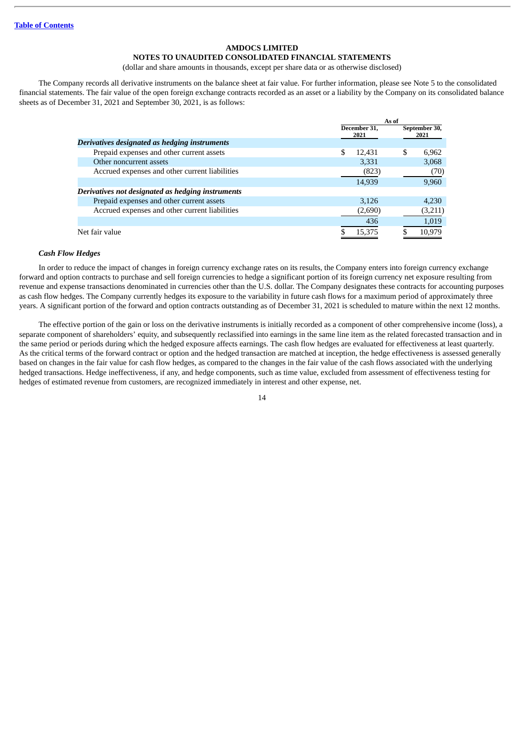# **NOTES TO UNAUDITED CONSOLIDATED FINANCIAL STATEMENTS**

(dollar and share amounts in thousands, except per share data or as otherwise disclosed)

The Company records all derivative instruments on the balance sheet at fair value. For further information, please see Note 5 to the consolidated financial statements. The fair value of the open foreign exchange contracts recorded as an asset or a liability by the Company on its consolidated balance sheets as of December 31, 2021 and September 30, 2021, is as follows:

|                                                   | As of |                      |   |                       |
|---------------------------------------------------|-------|----------------------|---|-----------------------|
|                                                   |       | December 31.<br>2021 |   | September 30,<br>2021 |
| Derivatives designated as hedging instruments     |       |                      |   |                       |
| Prepaid expenses and other current assets         | \$    | 12.431               | S | 6,962                 |
| Other noncurrent assets                           |       | 3.331                |   | 3,068                 |
| Accrued expenses and other current liabilities    |       | (823)                |   | (70)                  |
|                                                   |       | 14,939               |   | 9,960                 |
| Derivatives not designated as hedging instruments |       |                      |   |                       |
| Prepaid expenses and other current assets         |       | 3.126                |   | 4.230                 |
| Accrued expenses and other current liabilities    |       | (2,690)              |   | (3,211)               |
|                                                   |       | 436                  |   | 1,019                 |
| Net fair value                                    |       | 15.375               |   | 10.979                |

#### *Cash Flow Hedges*

In order to reduce the impact of changes in foreign currency exchange rates on its results, the Company enters into foreign currency exchange forward and option contracts to purchase and sell foreign currencies to hedge a significant portion of its foreign currency net exposure resulting from revenue and expense transactions denominated in currencies other than the U.S. dollar. The Company designates these contracts for accounting purposes as cash flow hedges. The Company currently hedges its exposure to the variability in future cash flows for a maximum period of approximately three years. A significant portion of the forward and option contracts outstanding as of December 31, 2021 is scheduled to mature within the next 12 months.

The effective portion of the gain or loss on the derivative instruments is initially recorded as a component of other comprehensive income (loss), a separate component of shareholders' equity, and subsequently reclassified into earnings in the same line item as the related forecasted transaction and in the same period or periods during which the hedged exposure affects earnings. The cash flow hedges are evaluated for effectiveness at least quarterly. As the critical terms of the forward contract or option and the hedged transaction are matched at inception, the hedge effectiveness is assessed generally based on changes in the fair value for cash flow hedges, as compared to the changes in the fair value of the cash flows associated with the underlying hedged transactions. Hedge ineffectiveness, if any, and hedge components, such as time value, excluded from assessment of effectiveness testing for hedges of estimated revenue from customers, are recognized immediately in interest and other expense, net.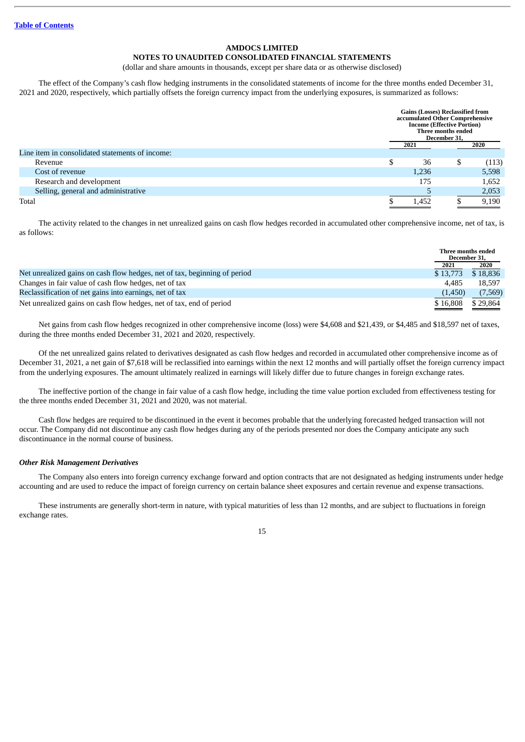# **NOTES TO UNAUDITED CONSOLIDATED FINANCIAL STATEMENTS**

(dollar and share amounts in thousands, except per share data or as otherwise disclosed)

The effect of the Company's cash flow hedging instruments in the consolidated statements of income for the three months ended December 31, 2021 and 2020, respectively, which partially offsets the foreign currency impact from the underlying exposures, is summarized as follows:

|                                                 |        | <b>Gains (Losses) Reclassified from</b><br>accumulated Other Comprehensive<br><b>Income (Effective Portion)</b><br>2021 | Three months ended<br>December 31. | 2020  |
|-------------------------------------------------|--------|-------------------------------------------------------------------------------------------------------------------------|------------------------------------|-------|
| Line item in consolidated statements of income: |        |                                                                                                                         |                                    |       |
| Revenue                                         | ¢<br>D | 36                                                                                                                      | \$                                 | (113) |
| Cost of revenue                                 |        | 1,236                                                                                                                   |                                    | 5,598 |
| Research and development                        |        | 175                                                                                                                     |                                    | 1,652 |
| Selling, general and administrative             |        |                                                                                                                         |                                    | 2,053 |
| Total                                           |        | 1,452                                                                                                                   |                                    | 9,190 |

The activity related to the changes in net unrealized gains on cash flow hedges recorded in accumulated other comprehensive income, net of tax, is as follows:

|                                                                           | Three months ended |                    |
|---------------------------------------------------------------------------|--------------------|--------------------|
|                                                                           | December 31,       |                    |
|                                                                           | 2021               | 2020               |
| Net unrealized gains on cash flow hedges, net of tax, beginning of period | \$13,773           | \$18,836           |
| Changes in fair value of cash flow hedges, net of tax                     | 4.485              | 18.597             |
| Reclassification of net gains into earnings, net of tax                   | (1,450)            | (7,569)            |
| Net unrealized gains on cash flow hedges, net of tax, end of period       | \$16,808           | \$29.864<br>______ |

Net gains from cash flow hedges recognized in other comprehensive income (loss) were \$4,608 and \$21,439, or \$4,485 and \$18,597 net of taxes, during the three months ended December 31, 2021 and 2020, respectively.

Of the net unrealized gains related to derivatives designated as cash flow hedges and recorded in accumulated other comprehensive income as of December 31, 2021, a net gain of \$7,618 will be reclassified into earnings within the next 12 months and will partially offset the foreign currency impact from the underlying exposures. The amount ultimately realized in earnings will likely differ due to future changes in foreign exchange rates.

The ineffective portion of the change in fair value of a cash flow hedge, including the time value portion excluded from effectiveness testing for the three months ended December 31, 2021 and 2020, was not material.

Cash flow hedges are required to be discontinued in the event it becomes probable that the underlying forecasted hedged transaction will not occur. The Company did not discontinue any cash flow hedges during any of the periods presented nor does the Company anticipate any such discontinuance in the normal course of business.

#### *Other Risk Management Derivatives*

The Company also enters into foreign currency exchange forward and option contracts that are not designated as hedging instruments under hedge accounting and are used to reduce the impact of foreign currency on certain balance sheet exposures and certain revenue and expense transactions.

These instruments are generally short-term in nature, with typical maturities of less than 12 months, and are subject to fluctuations in foreign exchange rates.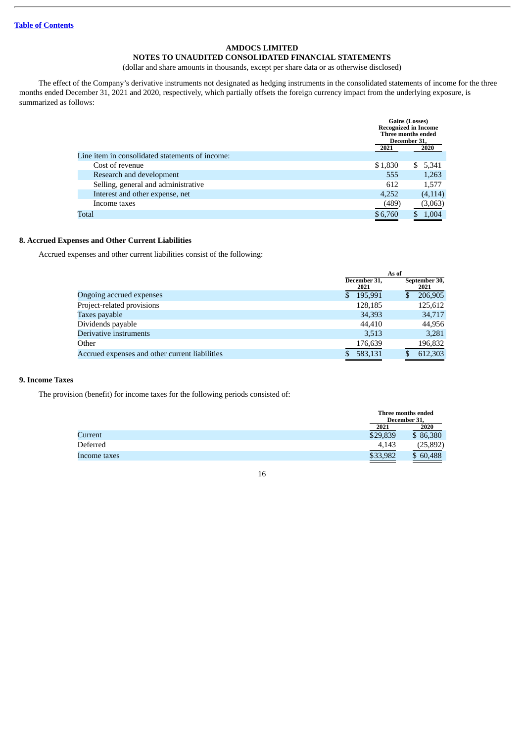# **NOTES TO UNAUDITED CONSOLIDATED FINANCIAL STATEMENTS**

(dollar and share amounts in thousands, except per share data or as otherwise disclosed)

The effect of the Company's derivative instruments not designated as hedging instruments in the consolidated statements of income for the three months ended December 31, 2021 and 2020, respectively, which partially offsets the foreign currency impact from the underlying exposure, is summarized as follows:

|                                                 | 2021    | Gains (Losses)<br><b>Recognized in Income</b><br>Three months ended<br>December 31,<br>2020 |
|-------------------------------------------------|---------|---------------------------------------------------------------------------------------------|
| Line item in consolidated statements of income: |         |                                                                                             |
| Cost of revenue                                 | \$1,830 | 5,341<br>SS.                                                                                |
| Research and development                        | 555     | 1,263                                                                                       |
| Selling, general and administrative             | 612     | 1,577                                                                                       |
| Interest and other expense, net                 | 4,252   | (4, 114)                                                                                    |
| Income taxes                                    | (489)   | (3,063)                                                                                     |
| Total                                           | \$6,760 | 1,004                                                                                       |

# **8. Accrued Expenses and Other Current Liabilities**

Accrued expenses and other current liabilities consist of the following:

|                                                |                      | As of                 |
|------------------------------------------------|----------------------|-----------------------|
|                                                | December 31,<br>2021 | September 30,<br>2021 |
| Ongoing accrued expenses                       | 195,991<br>S         | 206,905<br>S          |
| Project-related provisions                     | 128,185              | 125,612               |
| Taxes payable                                  | 34,393               | 34,717                |
| Dividends payable                              | 44,410               | 44,956                |
| Derivative instruments                         | 3,513                | 3,281                 |
| Other                                          | 176,639              | 196,832               |
| Accrued expenses and other current liabilities | 583,131              | 612,303               |

# **9. Income Taxes**

The provision (benefit) for income taxes for the following periods consisted of:

|              |          | Three months ended<br>December 31, |
|--------------|----------|------------------------------------|
|              | 2021     | 2020                               |
| Current      | \$29,839 | \$86,380                           |
| Deferred     | 4,143    | (25, 892)                          |
| Income taxes | \$33,982 | \$60,488                           |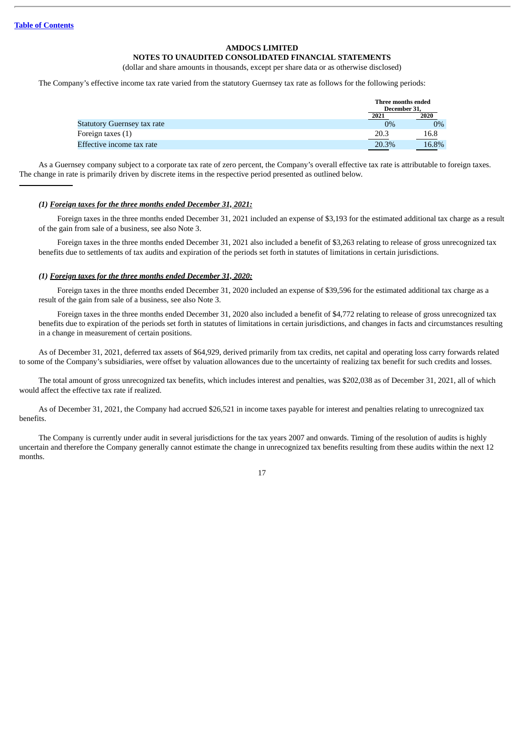#### **NOTES TO UNAUDITED CONSOLIDATED FINANCIAL STATEMENTS**

(dollar and share amounts in thousands, except per share data or as otherwise disclosed)

The Company's effective income tax rate varied from the statutory Guernsey tax rate as follows for the following periods:

|                                    |       | Three months ended<br>December 31, |
|------------------------------------|-------|------------------------------------|
|                                    | 2021  | 2020                               |
| <b>Statutory Guernsey tax rate</b> |       | $0\%$<br>$0\%$                     |
| Foreign taxes (1)                  | 20.3  | 16.8                               |
| Effective income tax rate          | 20.3% | 16.8%                              |

As a Guernsey company subject to a corporate tax rate of zero percent, the Company's overall effective tax rate is attributable to foreign taxes. The change in rate is primarily driven by discrete items in the respective period presented as outlined below.

#### *(1) Foreign taxes for the three months ended December 31, 2021:*

Foreign taxes in the three months ended December 31, 2021 included an expense of \$3,193 for the estimated additional tax charge as a result of the gain from sale of a business, see also Note 3.

Foreign taxes in the three months ended December 31, 2021 also included a benefit of \$3,263 relating to release of gross unrecognized tax benefits due to settlements of tax audits and expiration of the periods set forth in statutes of limitations in certain jurisdictions.

#### *(1) Foreign taxes for the three months ended December 31, 2020:*

Foreign taxes in the three months ended December 31, 2020 included an expense of \$39,596 for the estimated additional tax charge as a result of the gain from sale of a business, see also Note 3.

Foreign taxes in the three months ended December 31, 2020 also included a benefit of \$4,772 relating to release of gross unrecognized tax benefits due to expiration of the periods set forth in statutes of limitations in certain jurisdictions, and changes in facts and circumstances resulting in a change in measurement of certain positions.

As of December 31, 2021, deferred tax assets of \$64,929, derived primarily from tax credits, net capital and operating loss carry forwards related to some of the Company's subsidiaries, were offset by valuation allowances due to the uncertainty of realizing tax benefit for such credits and losses.

The total amount of gross unrecognized tax benefits, which includes interest and penalties, was \$202,038 as of December 31, 2021, all of which would affect the effective tax rate if realized.

As of December 31, 2021, the Company had accrued \$26,521 in income taxes payable for interest and penalties relating to unrecognized tax benefits.

The Company is currently under audit in several jurisdictions for the tax years 2007 and onwards. Timing of the resolution of audits is highly uncertain and therefore the Company generally cannot estimate the change in unrecognized tax benefits resulting from these audits within the next 12 months.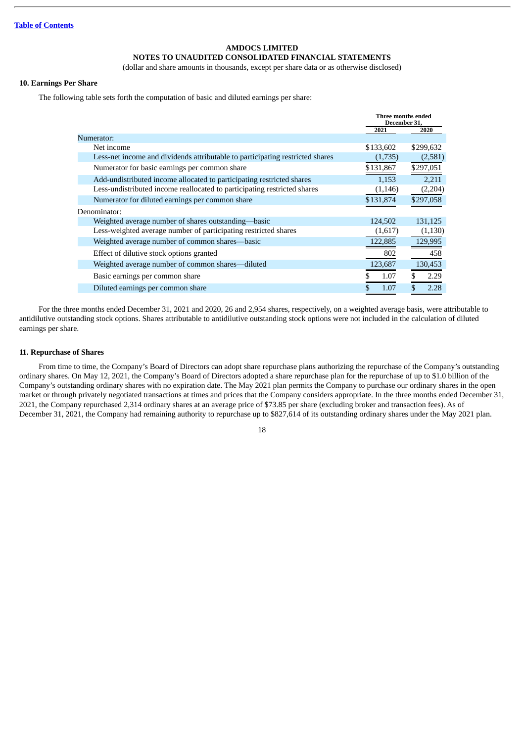# **NOTES TO UNAUDITED CONSOLIDATED FINANCIAL STATEMENTS**

(dollar and share amounts in thousands, except per share data or as otherwise disclosed)

# **10. Earnings Per Share**

The following table sets forth the computation of basic and diluted earnings per share:

|                                                                               | <b>Three months ended</b><br>December 31,<br>2021 | 2020      |
|-------------------------------------------------------------------------------|---------------------------------------------------|-----------|
| Numerator:                                                                    |                                                   |           |
| Net income                                                                    | \$133,602                                         | \$299,632 |
| Less-net income and dividends attributable to participating restricted shares | (1,735)                                           | (2,581)   |
| Numerator for basic earnings per common share                                 | \$131,867                                         | \$297,051 |
| Add-undistributed income allocated to participating restricted shares         | 1,153                                             | 2,211     |
| Less-undistributed income reallocated to participating restricted shares      | (1, 146)                                          | (2,204)   |
| Numerator for diluted earnings per common share                               | \$131,874                                         | \$297,058 |
| Denominator:                                                                  |                                                   |           |
| Weighted average number of shares outstanding—basic                           | 124,502                                           | 131,125   |
| Less-weighted average number of participating restricted shares               | (1,617)                                           | (1,130)   |
| Weighted average number of common shares—basic                                | 122,885                                           | 129,995   |
| Effect of dilutive stock options granted                                      | 802                                               | 458       |
| Weighted average number of common shares—diluted                              | 123,687                                           | 130,453   |
| Basic earnings per common share                                               | 1.07                                              | 2.29      |
| Diluted earnings per common share                                             | 1.07                                              | 2.28      |
|                                                                               |                                                   |           |

For the three months ended December 31, 2021 and 2020, 26 and 2,954 shares, respectively, on a weighted average basis, were attributable to antidilutive outstanding stock options. Shares attributable to antidilutive outstanding stock options were not included in the calculation of diluted earnings per share.

## **11. Repurchase of Shares**

From time to time, the Company's Board of Directors can adopt share repurchase plans authorizing the repurchase of the Company's outstanding ordinary shares. On May 12, 2021, the Company's Board of Directors adopted a share repurchase plan for the repurchase of up to \$1.0 billion of the Company's outstanding ordinary shares with no expiration date. The May 2021 plan permits the Company to purchase our ordinary shares in the open market or through privately negotiated transactions at times and prices that the Company considers appropriate. In the three months ended December 31, 2021, the Company repurchased 2,314 ordinary shares at an average price of \$73.85 per share (excluding broker and transaction fees). As of December 31, 2021, the Company had remaining authority to repurchase up to \$827,614 of its outstanding ordinary shares under the May 2021 plan.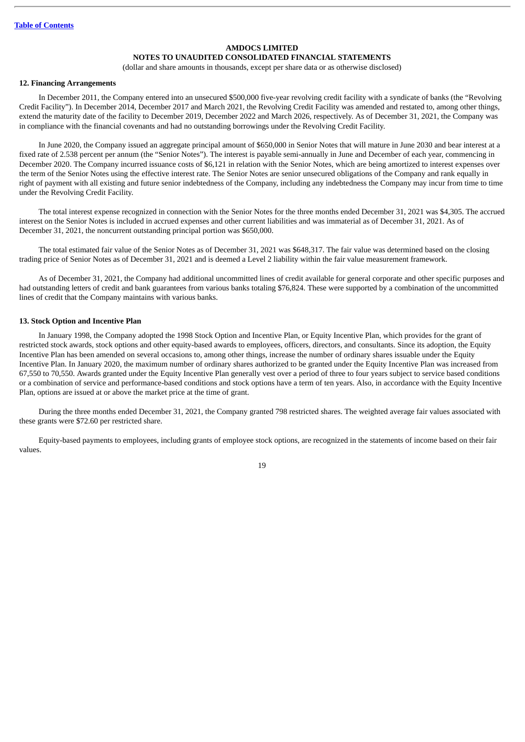# **NOTES TO UNAUDITED CONSOLIDATED FINANCIAL STATEMENTS**

(dollar and share amounts in thousands, except per share data or as otherwise disclosed)

#### **12. Financing Arrangements**

In December 2011, the Company entered into an unsecured \$500,000 five-year revolving credit facility with a syndicate of banks (the "Revolving Credit Facility"). In December 2014, December 2017 and March 2021, the Revolving Credit Facility was amended and restated to, among other things, extend the maturity date of the facility to December 2019, December 2022 and March 2026, respectively. As of December 31, 2021, the Company was in compliance with the financial covenants and had no outstanding borrowings under the Revolving Credit Facility.

In June 2020, the Company issued an aggregate principal amount of \$650,000 in Senior Notes that will mature in June 2030 and bear interest at a fixed rate of 2.538 percent per annum (the "Senior Notes"). The interest is payable semi-annually in June and December of each year, commencing in December 2020. The Company incurred issuance costs of \$6,121 in relation with the Senior Notes, which are being amortized to interest expenses over the term of the Senior Notes using the effective interest rate. The Senior Notes are senior unsecured obligations of the Company and rank equally in right of payment with all existing and future senior indebtedness of the Company, including any indebtedness the Company may incur from time to time under the Revolving Credit Facility.

The total interest expense recognized in connection with the Senior Notes for the three months ended December 31, 2021 was \$4,305. The accrued interest on the Senior Notes is included in accrued expenses and other current liabilities and was immaterial as of December 31, 2021. As of December 31, 2021, the noncurrent outstanding principal portion was \$650,000.

The total estimated fair value of the Senior Notes as of December 31, 2021 was \$648,317. The fair value was determined based on the closing trading price of Senior Notes as of December 31, 2021 and is deemed a Level 2 liability within the fair value measurement framework.

As of December 31, 2021, the Company had additional uncommitted lines of credit available for general corporate and other specific purposes and had outstanding letters of credit and bank guarantees from various banks totaling \$76,824. These were supported by a combination of the uncommitted lines of credit that the Company maintains with various banks.

#### **13. Stock Option and Incentive Plan**

In January 1998, the Company adopted the 1998 Stock Option and Incentive Plan, or Equity Incentive Plan, which provides for the grant of restricted stock awards, stock options and other equity-based awards to employees, officers, directors, and consultants. Since its adoption, the Equity Incentive Plan has been amended on several occasions to, among other things, increase the number of ordinary shares issuable under the Equity Incentive Plan. In January 2020, the maximum number of ordinary shares authorized to be granted under the Equity Incentive Plan was increased from 67,550 to 70,550. Awards granted under the Equity Incentive Plan generally vest over a period of three to four years subject to service based conditions or a combination of service and performance-based conditions and stock options have a term of ten years. Also, in accordance with the Equity Incentive Plan, options are issued at or above the market price at the time of grant.

During the three months ended December 31, 2021, the Company granted 798 restricted shares. The weighted average fair values associated with these grants were \$72.60 per restricted share.

Equity-based payments to employees, including grants of employee stock options, are recognized in the statements of income based on their fair values.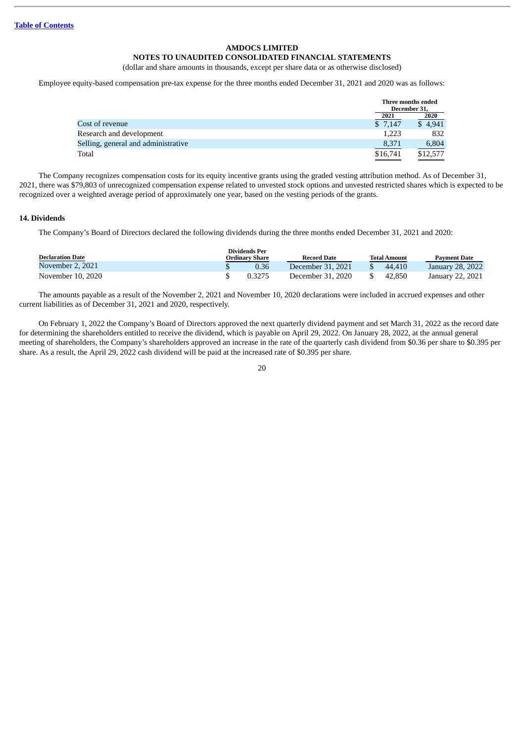# **NOTES TO UNAUDITED CONSOLIDATED FINANCIAL STATEMENTS**

(dollar and share amounts in thousands, except per share data or as otherwise disclosed)

Employee equity-based compensation pre-tax expense for the three months ended December 31, 2021 and 2020 was as follows:

|                                     | Three months ended<br>December 31. |          |
|-------------------------------------|------------------------------------|----------|
|                                     | 2021                               | 2020     |
| Cost of revenue                     | \$7.147                            | \$4,941  |
| Research and development            | 1.223                              | 832      |
| Selling, general and administrative | 8,371                              | 6,804    |
| Total                               | \$16,741                           | \$12,577 |
|                                     |                                    |          |

The Company recognizes compensation costs for its equity incentive grants using the graded vesting attribution method. As of December 31, 2021, there was \$79,803 of unrecognized compensation expense related to unvested stock options and unvested restricted shares which is expected to be recognized over a weighted average period of approximately one year, based on the vesting periods of the grants.

# **14. Dividends**

The Company's Board of Directors declared the following dividends during the three months ended December 31, 2021 and 2020:

| <b>Declaration Date</b> | <b>Dividends Per</b><br>Ordinary Share | <b>Record Date</b> | Total Amount | <b>Payment Date</b> |
|-------------------------|----------------------------------------|--------------------|--------------|---------------------|
| November 2, 2021        | 0.36                                   | December 31, 2021  | 44,410       | January 28, 2022    |
| November 10, 2020       | 0.3275                                 | December 31, 2020  | 42,850       | January 22, 2021    |

The amounts payable as a result of the November 2, 2021 and November 10, 2020 declarations were included in accrued expenses and other current liabilities as of December 31, 2021 and 2020, respectively.

On February 1, 2022 the Company's Board of Directors approved the next quarterly dividend payment and set March 31, 2022 as the record date for determining the shareholders entitled to receive the dividend, which is payable on April 29, 2022. On January 28, 2022, at the annual general meeting of shareholders, the Company's shareholders approved an increase in the rate of the quarterly cash dividend from \$0.36 per share to \$0.395 per share. As a result, the April 29, 2022 cash dividend will be paid at the increased rate of \$0.395 per share.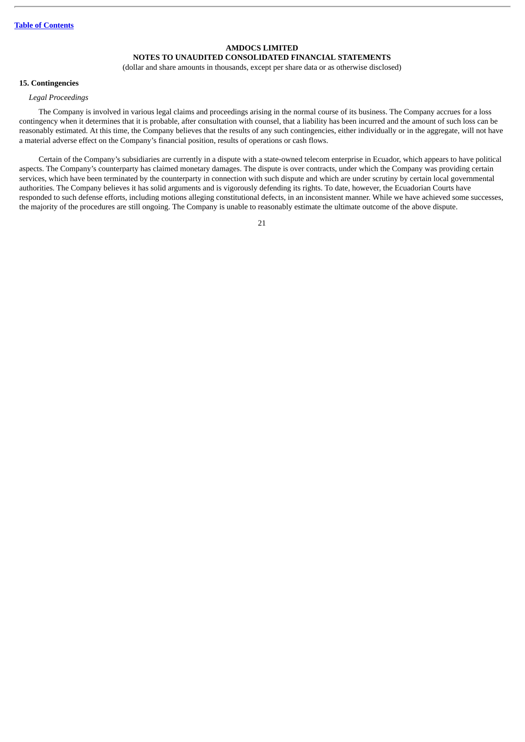# **NOTES TO UNAUDITED CONSOLIDATED FINANCIAL STATEMENTS**

(dollar and share amounts in thousands, except per share data or as otherwise disclosed)

# **15. Contingencies**

#### *Legal Proceedings*

The Company is involved in various legal claims and proceedings arising in the normal course of its business. The Company accrues for a loss contingency when it determines that it is probable, after consultation with counsel, that a liability has been incurred and the amount of such loss can be reasonably estimated. At this time, the Company believes that the results of any such contingencies, either individually or in the aggregate, will not have a material adverse effect on the Company's financial position, results of operations or cash flows.

Certain of the Company's subsidiaries are currently in a dispute with a state-owned telecom enterprise in Ecuador, which appears to have political aspects. The Company's counterparty has claimed monetary damages. The dispute is over contracts, under which the Company was providing certain services, which have been terminated by the counterparty in connection with such dispute and which are under scrutiny by certain local governmental authorities. The Company believes it has solid arguments and is vigorously defending its rights. To date, however, the Ecuadorian Courts have responded to such defense efforts, including motions alleging constitutional defects, in an inconsistent manner. While we have achieved some successes, the majority of the procedures are still ongoing. The Company is unable to reasonably estimate the ultimate outcome of the above dispute.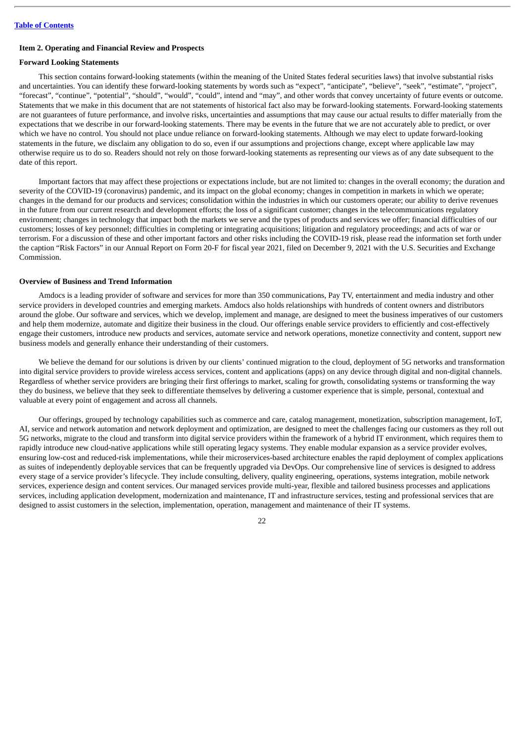# <span id="page-21-0"></span>**Item 2. Operating and Financial Review and Prospects**

# **Forward Looking Statements**

This section contains forward-looking statements (within the meaning of the United States federal securities laws) that involve substantial risks and uncertainties. You can identify these forward-looking statements by words such as "expect", "anticipate", "believe", "seek", "estimate", "project", "forecast", "continue", "potential", "should", "would", "could", intend and "may", and other words that convey uncertainty of future events or outcome. Statements that we make in this document that are not statements of historical fact also may be forward-looking statements. Forward-looking statements are not guarantees of future performance, and involve risks, uncertainties and assumptions that may cause our actual results to differ materially from the expectations that we describe in our forward-looking statements. There may be events in the future that we are not accurately able to predict, or over which we have no control. You should not place undue reliance on forward-looking statements. Although we may elect to update forward-looking statements in the future, we disclaim any obligation to do so, even if our assumptions and projections change, except where applicable law may otherwise require us to do so. Readers should not rely on those forward-looking statements as representing our views as of any date subsequent to the date of this report.

Important factors that may affect these projections or expectations include, but are not limited to: changes in the overall economy; the duration and severity of the COVID-19 (coronavirus) pandemic, and its impact on the global economy; changes in competition in markets in which we operate; changes in the demand for our products and services; consolidation within the industries in which our customers operate; our ability to derive revenues in the future from our current research and development efforts; the loss of a significant customer; changes in the telecommunications regulatory environment; changes in technology that impact both the markets we serve and the types of products and services we offer; financial difficulties of our customers; losses of key personnel; difficulties in completing or integrating acquisitions; litigation and regulatory proceedings; and acts of war or terrorism. For a discussion of these and other important factors and other risks including the COVID-19 risk, please read the information set forth under the caption "Risk Factors" in our Annual Report on Form 20-F for fiscal year 2021, filed on December 9, 2021 with the U.S. Securities and Exchange Commission.

#### **Overview of Business and Trend Information**

Amdocs is a leading provider of software and services for more than 350 communications, Pay TV, entertainment and media industry and other service providers in developed countries and emerging markets. Amdocs also holds relationships with hundreds of content owners and distributors around the globe. Our software and services, which we develop, implement and manage, are designed to meet the business imperatives of our customers and help them modernize, automate and digitize their business in the cloud. Our offerings enable service providers to efficiently and cost-effectively engage their customers, introduce new products and services, automate service and network operations, monetize connectivity and content, support new business models and generally enhance their understanding of their customers.

We believe the demand for our solutions is driven by our clients' continued migration to the cloud, deployment of 5G networks and transformation into digital service providers to provide wireless access services, content and applications (apps) on any device through digital and non-digital channels. Regardless of whether service providers are bringing their first offerings to market, scaling for growth, consolidating systems or transforming the way they do business, we believe that they seek to differentiate themselves by delivering a customer experience that is simple, personal, contextual and valuable at every point of engagement and across all channels.

Our offerings, grouped by technology capabilities such as commerce and care, catalog management, monetization, subscription management, IoT, AI, service and network automation and network deployment and optimization, are designed to meet the challenges facing our customers as they roll out 5G networks, migrate to the cloud and transform into digital service providers within the framework of a hybrid IT environment, which requires them to rapidly introduce new cloud-native applications while still operating legacy systems. They enable modular expansion as a service provider evolves, ensuring low-cost and reduced-risk implementations, while their microservices-based architecture enables the rapid deployment of complex applications as suites of independently deployable services that can be frequently upgraded via DevOps. Our comprehensive line of services is designed to address every stage of a service provider's lifecycle. They include consulting, delivery, quality engineering, operations, systems integration, mobile network services, experience design and content services. Our managed services provide multi-year, flexible and tailored business processes and applications services, including application development, modernization and maintenance, IT and infrastructure services, testing and professional services that are designed to assist customers in the selection, implementation, operation, management and maintenance of their IT systems.

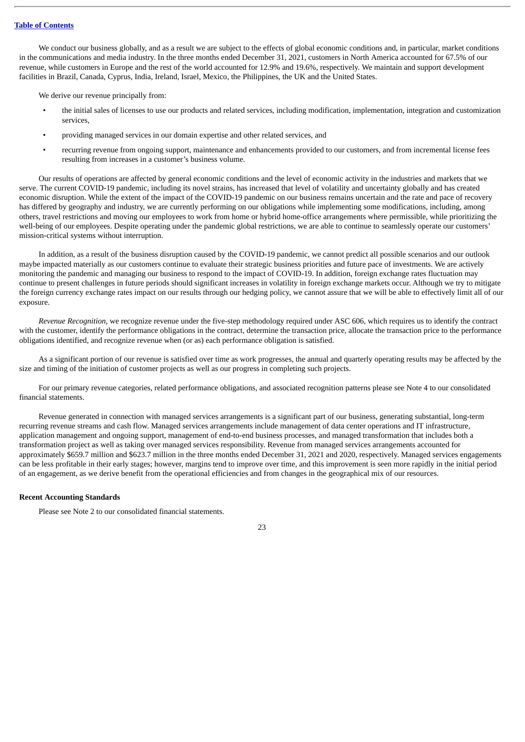## **Table of [Contents](#page-1-0)**

We conduct our business globally, and as a result we are subject to the effects of global economic conditions and, in particular, market conditions in the communications and media industry. In the three months ended December 31, 2021, customers in North America accounted for 67.5% of our revenue, while customers in Europe and the rest of the world accounted for 12.9% and 19.6%, respectively. We maintain and support development facilities in Brazil, Canada, Cyprus, India, Ireland, Israel, Mexico, the Philippines, the UK and the United States.

We derive our revenue principally from:

- the initial sales of licenses to use our products and related services, including modification, implementation, integration and customization services,
- providing managed services in our domain expertise and other related services, and
- recurring revenue from ongoing support, maintenance and enhancements provided to our customers, and from incremental license fees resulting from increases in a customer's business volume.

Our results of operations are affected by general economic conditions and the level of economic activity in the industries and markets that we serve. The current COVID-19 pandemic, including its novel strains, has increased that level of volatility and uncertainty globally and has created economic disruption. While the extent of the impact of the COVID-19 pandemic on our business remains uncertain and the rate and pace of recovery has differed by geography and industry, we are currently performing on our obligations while implementing some modifications, including, among others, travel restrictions and moving our employees to work from home or hybrid home-office arrangements where permissible, while prioritizing the well-being of our employees. Despite operating under the pandemic global restrictions, we are able to continue to seamlessly operate our customers' mission-critical systems without interruption.

In addition, as a result of the business disruption caused by the COVID-19 pandemic, we cannot predict all possible scenarios and our outlook maybe impacted materially as our customers continue to evaluate their strategic business priorities and future pace of investments. We are actively monitoring the pandemic and managing our business to respond to the impact of COVID-19. In addition, foreign exchange rates fluctuation may continue to present challenges in future periods should significant increases in volatility in foreign exchange markets occur. Although we try to mitigate the foreign currency exchange rates impact on our results through our hedging policy, we cannot assure that we will be able to effectively limit all of our exposure.

*Revenue Recognition*, we recognize revenue under the five-step methodology required under ASC 606, which requires us to identify the contract with the customer, identify the performance obligations in the contract, determine the transaction price, allocate the transaction price to the performance obligations identified, and recognize revenue when (or as) each performance obligation is satisfied.

As a significant portion of our revenue is satisfied over time as work progresses, the annual and quarterly operating results may be affected by the size and timing of the initiation of customer projects as well as our progress in completing such projects.

For our primary revenue categories, related performance obligations, and associated recognition patterns please see Note 4 to our consolidated financial statements.

Revenue generated in connection with managed services arrangements is a significant part of our business, generating substantial, long-term recurring revenue streams and cash flow. Managed services arrangements include management of data center operations and IT infrastructure, application management and ongoing support, management of end-to-end business processes, and managed transformation that includes both a transformation project as well as taking over managed services responsibility. Revenue from managed services arrangements accounted for approximately \$659.7 million and \$623.7 million in the three months ended December 31, 2021 and 2020, respectively. Managed services engagements can be less profitable in their early stages; however, margins tend to improve over time, and this improvement is seen more rapidly in the initial period of an engagement, as we derive benefit from the operational efficiencies and from changes in the geographical mix of our resources.

# **Recent Accounting Standards**

Please see Note 2 to our consolidated financial statements.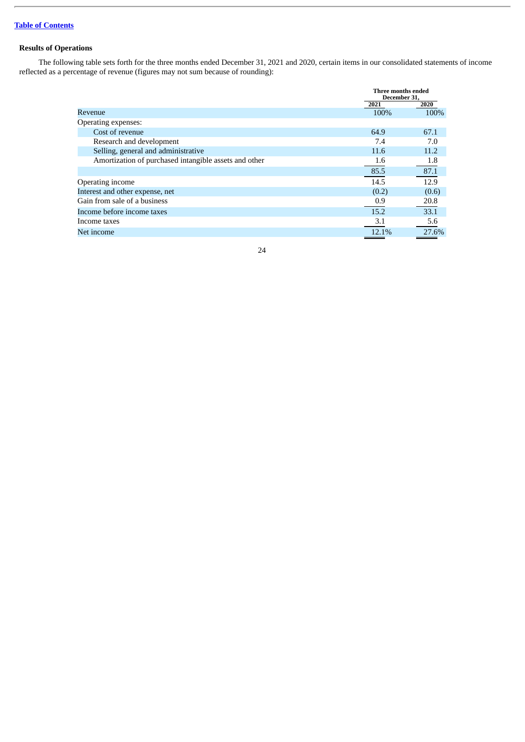# **Results of Operations**

The following table sets forth for the three months ended December 31, 2021 and 2020, certain items in our consolidated statements of income reflected as a percentage of revenue (figures may not sum because of rounding):

|                                                       |       | Three months ended<br>December 31, |  |
|-------------------------------------------------------|-------|------------------------------------|--|
|                                                       | 2021  | 2020                               |  |
| Revenue                                               | 100%  | 100%                               |  |
| Operating expenses:                                   |       |                                    |  |
| Cost of revenue                                       | 64.9  | 67.1                               |  |
| Research and development                              | 7.4   | 7.0                                |  |
| Selling, general and administrative                   | 11.6  | 11.2                               |  |
| Amortization of purchased intangible assets and other | 1.6   | 1.8                                |  |
|                                                       | 85.5  | 87.1                               |  |
| Operating income                                      | 14.5  | 12.9                               |  |
| Interest and other expense, net                       | (0.2) | (0.6)                              |  |
| Gain from sale of a business                          | 0.9   | 20.8                               |  |
| Income before income taxes                            | 15.2  | 33.1                               |  |
| Income taxes                                          | 3.1   | 5.6                                |  |
| Net income                                            | 12.1% | 27.6%                              |  |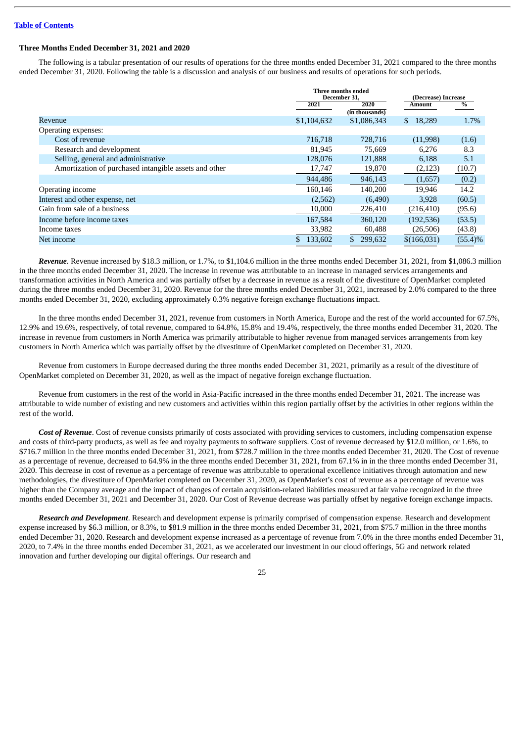## **Table of [Contents](#page-1-0)**

## **Three Months Ended December 31, 2021 and 2020**

The following is a tabular presentation of our results of operations for the three months ended December 31, 2021 compared to the three months ended December 31, 2020. Following the table is a discussion and analysis of our business and results of operations for such periods.

|                                                       | Three months ended<br>December 31, |                | (Decrease) Increase |            |
|-------------------------------------------------------|------------------------------------|----------------|---------------------|------------|
|                                                       | 2021                               | 2020           | <b>Amount</b>       | %          |
|                                                       |                                    | (in thousands) |                     |            |
| Revenue                                               | \$1,104,632                        | \$1,086,343    | \$<br>18,289        | 1.7%       |
| Operating expenses:                                   |                                    |                |                     |            |
| Cost of revenue                                       | 716,718                            | 728,716        | (11,998)            | (1.6)      |
| Research and development                              | 81,945                             | 75,669         | 6,276               | 8.3        |
| Selling, general and administrative                   | 128,076                            | 121,888        | 6,188               | 5.1        |
| Amortization of purchased intangible assets and other | 17,747                             | 19,870         | (2, 123)            | (10.7)     |
|                                                       | 944,486                            | 946,143        | (1,657)             | (0.2)      |
| Operating income                                      | 160,146                            | 140,200        | 19,946              | 14.2       |
| Interest and other expense, net                       | (2,562)                            | (6,490)        | 3,928               | (60.5)     |
| Gain from sale of a business                          | 10,000                             | 226,410        | (216, 410)          | (95.6)     |
| Income before income taxes                            | 167,584                            | 360,120        | (192, 536)          | (53.5)     |
| Income taxes                                          | 33,982                             | 60,488         | (26, 506)           | (43.8)     |
| Net income                                            | 133,602                            | 299,632        | \$(166,031)         | $(55.4)\%$ |

*Revenue.* Revenue increased by \$18.3 million, or 1.7%, to \$1,104.6 million in the three months ended December 31, 2021, from \$1,086.3 million in the three months ended December 31, 2020. The increase in revenue was attributable to an increase in managed services arrangements and transformation activities in North America and was partially offset by a decrease in revenue as a result of the divestiture of OpenMarket completed during the three months ended December 31, 2020. Revenue for the three months ended December 31, 2021, increased by 2.0% compared to the three months ended December 31, 2020, excluding approximately 0.3% negative foreign exchange fluctuations impact.

In the three months ended December 31, 2021, revenue from customers in North America, Europe and the rest of the world accounted for 67.5%, 12.9% and 19.6%, respectively, of total revenue, compared to 64.8%, 15.8% and 19.4%, respectively, the three months ended December 31, 2020. The increase in revenue from customers in North America was primarily attributable to higher revenue from managed services arrangements from key customers in North America which was partially offset by the divestiture of OpenMarket completed on December 31, 2020.

Revenue from customers in Europe decreased during the three months ended December 31, 2021, primarily as a result of the divestiture of OpenMarket completed on December 31, 2020, as well as the impact of negative foreign exchange fluctuation.

Revenue from customers in the rest of the world in Asia-Pacific increased in the three months ended December 31, 2021. The increase was attributable to wide number of existing and new customers and activities within this region partially offset by the activities in other regions within the rest of the world.

*Cost of Revenue*. Cost of revenue consists primarily of costs associated with providing services to customers, including compensation expense and costs of third-party products, as well as fee and royalty payments to software suppliers. Cost of revenue decreased by \$12.0 million, or 1.6%, to \$716.7 million in the three months ended December 31, 2021, from \$728.7 million in the three months ended December 31, 2020. The Cost of revenue as a percentage of revenue, decreased to 64.9% in the three months ended December 31, 2021, from 67.1% in in the three months ended December 31, 2020. This decrease in cost of revenue as a percentage of revenue was attributable to operational excellence initiatives through automation and new methodologies, the divestiture of OpenMarket completed on December 31, 2020, as OpenMarket's cost of revenue as a percentage of revenue was higher than the Company average and the impact of changes of certain acquisition-related liabilities measured at fair value recognized in the three months ended December 31, 2021 and December 31, 2020. Our Cost of Revenue decrease was partially offset by negative foreign exchange impacts.

*Research and Development*. Research and development expense is primarily comprised of compensation expense. Research and development expense increased by \$6.3 million, or 8.3%, to \$81.9 million in the three months ended December 31, 2021, from \$75.7 million in the three months ended December 31, 2020. Research and development expense increased as a percentage of revenue from 7.0% in the three months ended December 31, 2020, to 7.4% in the three months ended December 31, 2021, as we accelerated our investment in our cloud offerings, 5G and network related innovation and further developing our digital offerings. Our research and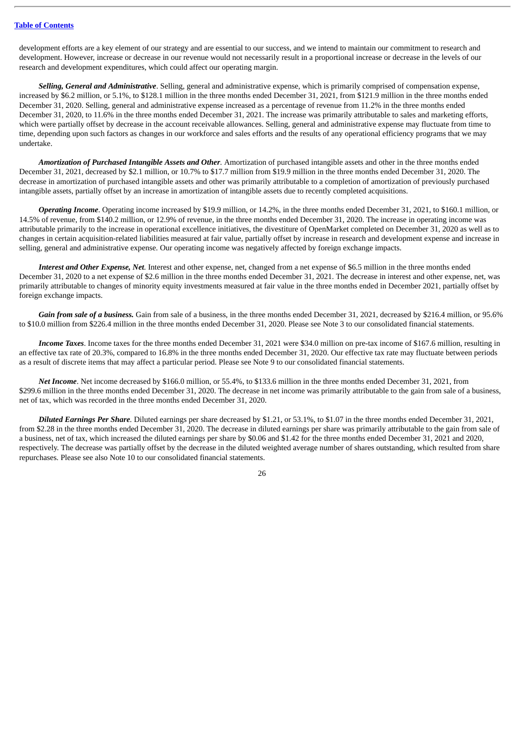development efforts are a key element of our strategy and are essential to our success, and we intend to maintain our commitment to research and development. However, increase or decrease in our revenue would not necessarily result in a proportional increase or decrease in the levels of our research and development expenditures, which could affect our operating margin.

*Selling, General and Administrative*. Selling, general and administrative expense, which is primarily comprised of compensation expense, increased by \$6.2 million, or 5.1%, to \$128.1 million in the three months ended December 31, 2021, from \$121.9 million in the three months ended December 31, 2020. Selling, general and administrative expense increased as a percentage of revenue from 11.2% in the three months ended December 31, 2020, to 11.6% in the three months ended December 31, 2021. The increase was primarily attributable to sales and marketing efforts, which were partially offset by decrease in the account receivable allowances. Selling, general and administrative expense may fluctuate from time to time, depending upon such factors as changes in our workforce and sales efforts and the results of any operational efficiency programs that we may undertake.

*Amortization of Purchased Intangible Assets and Other.* Amortization of purchased intangible assets and other in the three months ended December 31, 2021, decreased by \$2.1 million, or 10.7% to \$17.7 million from \$19.9 million in the three months ended December 31, 2020. The decrease in amortization of purchased intangible assets and other was primarily attributable to a completion of amortization of previously purchased intangible assets, partially offset by an increase in amortization of intangible assets due to recently completed acquisitions.

*Operating Income*. Operating income increased by \$19.9 million, or 14.2%, in the three months ended December 31, 2021, to \$160.1 million, or 14.5% of revenue, from \$140.2 million, or 12.9% of revenue, in the three months ended December 31, 2020. The increase in operating income was attributable primarily to the increase in operational excellence initiatives, the divestiture of OpenMarket completed on December 31, 2020 as well as to changes in certain acquisition-related liabilities measured at fair value, partially offset by increase in research and development expense and increase in selling, general and administrative expense. Our operating income was negatively affected by foreign exchange impacts.

*Interest and Other Expense, Net.* Interest and other expense, net, changed from a net expense of \$6.5 million in the three months ended December 31, 2020 to a net expense of \$2.6 million in the three months ended December 31, 2021. The decrease in interest and other expense, net, was primarily attributable to changes of minority equity investments measured at fair value in the three months ended in December 2021, partially offset by foreign exchange impacts.

*Gain from sale of a business.* Gain from sale of a business, in the three months ended December 31, 2021, decreased by \$216.4 million, or 95.6% to \$10.0 million from \$226.4 million in the three months ended December 31, 2020. Please see Note 3 to our consolidated financial statements.

*Income Taxes*. Income taxes for the three months ended December 31, 2021 were \$34.0 million on pre-tax income of \$167.6 million, resulting in an effective tax rate of 20.3%, compared to 16.8% in the three months ended December 31, 2020. Our effective tax rate may fluctuate between periods as a result of discrete items that may affect a particular period. Please see Note 9 to our consolidated financial statements.

*Net Income*. Net income decreased by \$166.0 million, or 55.4%, to \$133.6 million in the three months ended December 31, 2021, from \$299.6 million in the three months ended December 31, 2020. The decrease in net income was primarily attributable to the gain from sale of a business, net of tax, which was recorded in the three months ended December 31, 2020.

*Diluted Earnings Per Share.* Diluted earnings per share decreased by \$1.21, or 53.1%, to \$1.07 in the three months ended December 31, 2021, from \$2.28 in the three months ended December 31, 2020. The decrease in diluted earnings per share was primarily attributable to the gain from sale of a business, net of tax, which increased the diluted earnings per share by \$0.06 and \$1.42 for the three months ended December 31, 2021 and 2020, respectively. The decrease was partially offset by the decrease in the diluted weighted average number of shares outstanding, which resulted from share repurchases. Please see also Note 10 to our consolidated financial statements.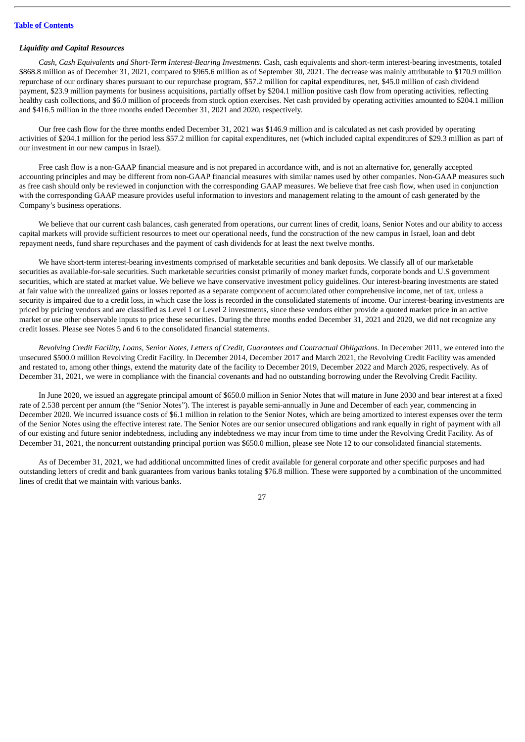#### *Liquidity and Capital Resources*

*Cash, Cash Equivalents and Short-Term Interest-Bearing Investments.* Cash, cash equivalents and short-term interest-bearing investments, totaled \$868.8 million as of December 31, 2021, compared to \$965.6 million as of September 30, 2021. The decrease was mainly attributable to \$170.9 million repurchase of our ordinary shares pursuant to our repurchase program, \$57.2 million for capital expenditures, net, \$45.0 million of cash dividend payment, \$23.9 million payments for business acquisitions, partially offset by \$204.1 million positive cash flow from operating activities, reflecting healthy cash collections, and \$6.0 million of proceeds from stock option exercises. Net cash provided by operating activities amounted to \$204.1 million and \$416.5 million in the three months ended December 31, 2021 and 2020, respectively.

Our free cash flow for the three months ended December 31, 2021 was \$146.9 million and is calculated as net cash provided by operating activities of \$204.1 million for the period less \$57.2 million for capital expenditures, net (which included capital expenditures of \$29.3 million as part of our investment in our new campus in Israel).

Free cash flow is a non-GAAP financial measure and is not prepared in accordance with, and is not an alternative for, generally accepted accounting principles and may be different from non-GAAP financial measures with similar names used by other companies. Non-GAAP measures such as free cash should only be reviewed in conjunction with the corresponding GAAP measures. We believe that free cash flow, when used in conjunction with the corresponding GAAP measure provides useful information to investors and management relating to the amount of cash generated by the Company's business operations.

We believe that our current cash balances, cash generated from operations, our current lines of credit, loans, Senior Notes and our ability to access capital markets will provide sufficient resources to meet our operational needs, fund the construction of the new campus in Israel, loan and debt repayment needs, fund share repurchases and the payment of cash dividends for at least the next twelve months.

We have short-term interest-bearing investments comprised of marketable securities and bank deposits. We classify all of our marketable securities as available-for-sale securities. Such marketable securities consist primarily of money market funds, corporate bonds and U.S government securities, which are stated at market value. We believe we have conservative investment policy guidelines. Our interest-bearing investments are stated at fair value with the unrealized gains or losses reported as a separate component of accumulated other comprehensive income, net of tax, unless a security is impaired due to a credit loss, in which case the loss is recorded in the consolidated statements of income. Our interest-bearing investments are priced by pricing vendors and are classified as Level 1 or Level 2 investments, since these vendors either provide a quoted market price in an active market or use other observable inputs to price these securities. During the three months ended December 31, 2021 and 2020, we did not recognize any credit losses. Please see Notes 5 and 6 to the consolidated financial statements.

Revolving Credit Facility, Loans, Senior Notes, Letters of Credit, Guarantees and Contractual Obligations. In December 2011, we entered into the unsecured \$500.0 million Revolving Credit Facility. In December 2014, December 2017 and March 2021, the Revolving Credit Facility was amended and restated to, among other things, extend the maturity date of the facility to December 2019, December 2022 and March 2026, respectively. As of December 31, 2021, we were in compliance with the financial covenants and had no outstanding borrowing under the Revolving Credit Facility.

In June 2020, we issued an aggregate principal amount of \$650.0 million in Senior Notes that will mature in June 2030 and bear interest at a fixed rate of 2.538 percent per annum (the "Senior Notes"). The interest is payable semi-annually in June and December of each year, commencing in December 2020. We incurred issuance costs of \$6.1 million in relation to the Senior Notes, which are being amortized to interest expenses over the term of the Senior Notes using the effective interest rate. The Senior Notes are our senior unsecured obligations and rank equally in right of payment with all of our existing and future senior indebtedness, including any indebtedness we may incur from time to time under the Revolving Credit Facility. As of December 31, 2021, the noncurrent outstanding principal portion was \$650.0 million, please see Note 12 to our consolidated financial statements.

As of December 31, 2021, we had additional uncommitted lines of credit available for general corporate and other specific purposes and had outstanding letters of credit and bank guarantees from various banks totaling \$76.8 million. These were supported by a combination of the uncommitted lines of credit that we maintain with various banks.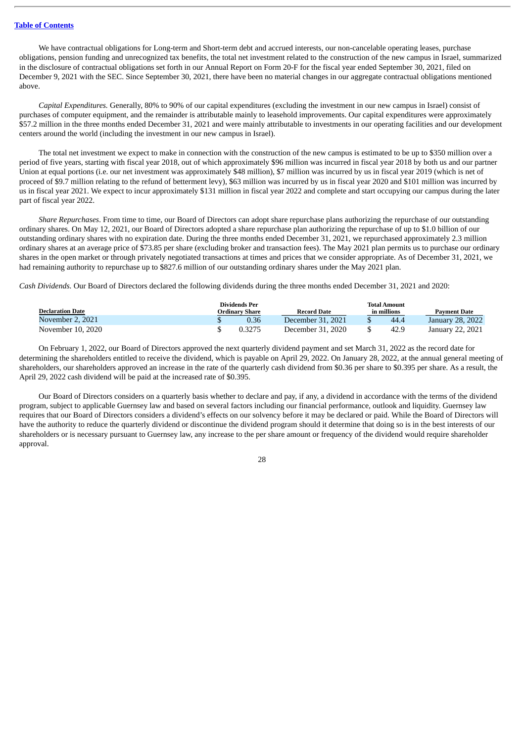## **Table of [Contents](#page-1-0)**

We have contractual obligations for Long-term and Short-term debt and accrued interests, our non-cancelable operating leases, purchase obligations, pension funding and unrecognized tax benefits, the total net investment related to the construction of the new campus in Israel, summarized in the disclosure of contractual obligations set forth in our Annual Report on Form 20-F for the fiscal year ended September 30, 2021, filed on December 9, 2021 with the SEC. Since September 30, 2021, there have been no material changes in our aggregate contractual obligations mentioned above.

*Capital Expenditures.* Generally, 80% to 90% of our capital expenditures (excluding the investment in our new campus in Israel) consist of purchases of computer equipment, and the remainder is attributable mainly to leasehold improvements. Our capital expenditures were approximately \$57.2 million in the three months ended December 31, 2021 and were mainly attributable to investments in our operating facilities and our development centers around the world (including the investment in our new campus in Israel).

The total net investment we expect to make in connection with the construction of the new campus is estimated to be up to \$350 million over a period of five years, starting with fiscal year 2018, out of which approximately \$96 million was incurred in fiscal year 2018 by both us and our partner Union at equal portions (i.e. our net investment was approximately \$48 million), \$7 million was incurred by us in fiscal year 2019 (which is net of proceed of \$9.7 million relating to the refund of betterment levy), \$63 million was incurred by us in fiscal year 2020 and \$101 million was incurred by us in fiscal year 2021. We expect to incur approximately \$131 million in fiscal year 2022 and complete and start occupying our campus during the later part of fiscal year 2022.

*Share Repurchases*. From time to time, our Board of Directors can adopt share repurchase plans authorizing the repurchase of our outstanding ordinary shares. On May 12, 2021, our Board of Directors adopted a share repurchase plan authorizing the repurchase of up to \$1.0 billion of our outstanding ordinary shares with no expiration date. During the three months ended December 31, 2021, we repurchased approximately 2.3 million ordinary shares at an average price of \$73.85 per share (excluding broker and transaction fees). The May 2021 plan permits us to purchase our ordinary shares in the open market or through privately negotiated transactions at times and prices that we consider appropriate. As of December 31, 2021, we had remaining authority to repurchase up to \$827.6 million of our outstanding ordinary shares under the May 2021 plan.

*Cash Dividends.* Our Board of Directors declared the following dividends during the three months ended December 31, 2021 and 2020:

| <b>Declaration Date</b> | Dividends Per<br>Ordinarv Share | <b>Record Date</b> | Total Amount<br>in millions |      | <b>Payment Date</b> |
|-------------------------|---------------------------------|--------------------|-----------------------------|------|---------------------|
| November 2, 2021        | 0.36                            | December 31. 2021  |                             | 44.4 | January 28, 2022    |
| November 10, 2020       | 0.3275                          | December 31. 2020  |                             | 42.9 | January 22, 2021    |

On February 1, 2022, our Board of Directors approved the next quarterly dividend payment and set March 31, 2022 as the record date for determining the shareholders entitled to receive the dividend, which is payable on April 29, 2022. On January 28, 2022, at the annual general meeting of shareholders, our shareholders approved an increase in the rate of the quarterly cash dividend from \$0.36 per share to \$0.395 per share. As a result, the April 29, 2022 cash dividend will be paid at the increased rate of \$0.395.

Our Board of Directors considers on a quarterly basis whether to declare and pay, if any, a dividend in accordance with the terms of the dividend program, subject to applicable Guernsey law and based on several factors including our financial performance, outlook and liquidity. Guernsey law requires that our Board of Directors considers a dividend's effects on our solvency before it may be declared or paid. While the Board of Directors will have the authority to reduce the quarterly dividend or discontinue the dividend program should it determine that doing so is in the best interests of our shareholders or is necessary pursuant to Guernsey law, any increase to the per share amount or frequency of the dividend would require shareholder approval.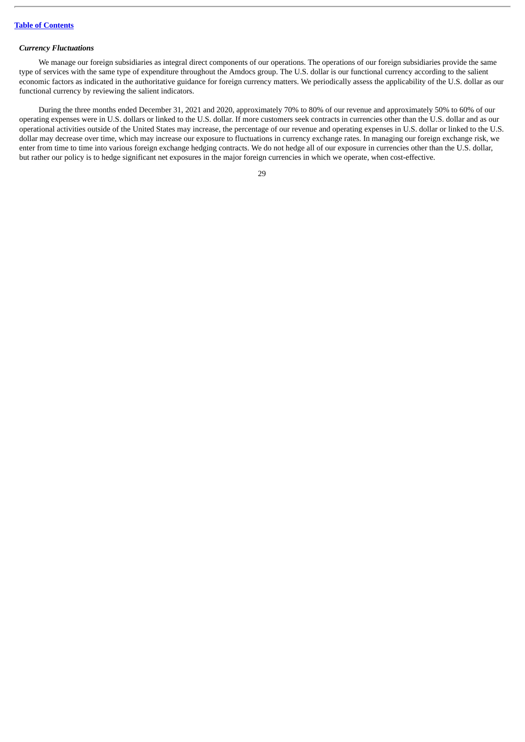#### *Currency Fluctuations*

We manage our foreign subsidiaries as integral direct components of our operations. The operations of our foreign subsidiaries provide the same type of services with the same type of expenditure throughout the Amdocs group. The U.S. dollar is our functional currency according to the salient economic factors as indicated in the authoritative guidance for foreign currency matters. We periodically assess the applicability of the U.S. dollar as our functional currency by reviewing the salient indicators.

During the three months ended December 31, 2021 and 2020, approximately 70% to 80% of our revenue and approximately 50% to 60% of our operating expenses were in U.S. dollars or linked to the U.S. dollar. If more customers seek contracts in currencies other than the U.S. dollar and as our operational activities outside of the United States may increase, the percentage of our revenue and operating expenses in U.S. dollar or linked to the U.S. dollar may decrease over time, which may increase our exposure to fluctuations in currency exchange rates. In managing our foreign exchange risk, we enter from time to time into various foreign exchange hedging contracts. We do not hedge all of our exposure in currencies other than the U.S. dollar, but rather our policy is to hedge significant net exposures in the major foreign currencies in which we operate, when cost-effective.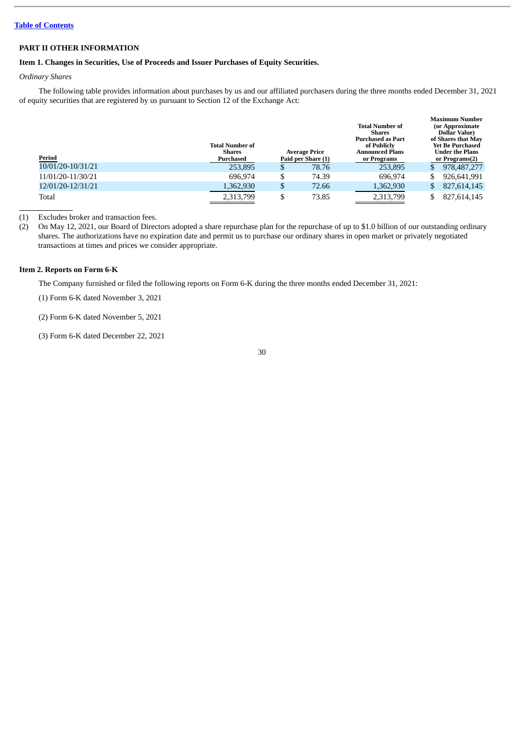# **Table of [Contents](#page-1-0)**

# <span id="page-29-0"></span>**PART II OTHER INFORMATION**

# <span id="page-29-1"></span>**Item 1. Changes in Securities, Use of Proceeds and Issuer Purchases of Equity Securities.**

# *Ordinary Shares*

The following table provides information about purchases by us and our affiliated purchasers during the three months ended December 31, 2021 of equity securities that are registered by us pursuant to Section 12 of the Exchange Act:

| Period            | <b>Total Number of</b><br><b>Shares</b><br>Purchased | <b>Average Price</b><br>Paid per Share (1) | <b>Total Number of</b><br><b>Shares</b><br><b>Purchased as Part</b><br>of Publicly<br><b>Announced Plans</b><br>or Programs |   | <b>Maximum Number</b><br>(or Approximate)<br>Dollar Value)<br>of Shares that May<br>Yet Be Purchased<br>Under the Plans<br>or Programs(2) |
|-------------------|------------------------------------------------------|--------------------------------------------|-----------------------------------------------------------------------------------------------------------------------------|---|-------------------------------------------------------------------------------------------------------------------------------------------|
| 10/01/20-10/31/21 | 253,895                                              | \$<br>78.76                                | 253,895                                                                                                                     | S | 978,487,277                                                                                                                               |
| 11/01/20-11/30/21 | 696.974                                              | \$<br>74.39                                | 696.974                                                                                                                     |   | 926,641,991                                                                                                                               |
| 12/01/20-12/31/21 | 1,362,930                                            | \$<br>72.66                                | 1,362,930                                                                                                                   |   | 827,614,145                                                                                                                               |
| Total             | 2,313,799                                            | 73.85                                      | 2,313,799                                                                                                                   |   | 827,614,145                                                                                                                               |

(1) Excludes broker and transaction fees.

(2) On May 12, 2021, our Board of Directors adopted a share repurchase plan for the repurchase of up to \$1.0 billion of our outstanding ordinary shares. The authorizations have no expiration date and permit us to purchase our ordinary shares in open market or privately negotiated transactions at times and prices we consider appropriate.

# <span id="page-29-2"></span>**Item 2. Reports on Form 6-K**

The Company furnished or filed the following reports on Form 6-K during the three months ended December 31, 2021:

(1) Form 6-K dated November 3, 2021

(2) Form 6-K dated November 5, 2021

(3) Form 6-K dated December 22, 2021